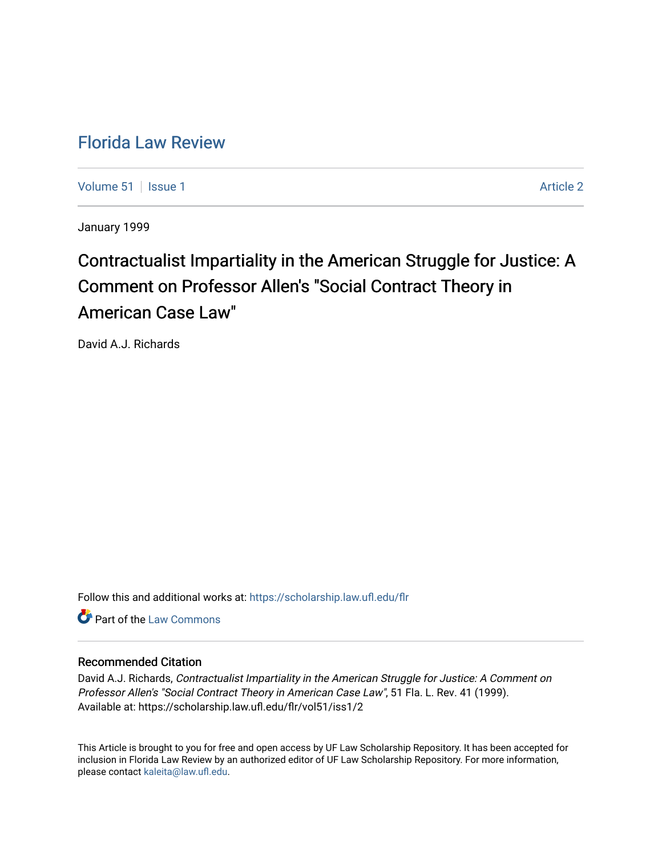# [Florida Law Review](https://scholarship.law.ufl.edu/flr)

[Volume 51](https://scholarship.law.ufl.edu/flr/vol51) | [Issue 1](https://scholarship.law.ufl.edu/flr/vol51/iss1) Article 2

January 1999

# Contractualist Impartiality in the American Struggle for Justice: A Comment on Professor Allen's "Social Contract Theory in American Case Law"

David A.J. Richards

Follow this and additional works at: [https://scholarship.law.ufl.edu/flr](https://scholarship.law.ufl.edu/flr?utm_source=scholarship.law.ufl.edu%2Fflr%2Fvol51%2Fiss1%2F2&utm_medium=PDF&utm_campaign=PDFCoverPages)

**C** Part of the [Law Commons](http://network.bepress.com/hgg/discipline/578?utm_source=scholarship.law.ufl.edu%2Fflr%2Fvol51%2Fiss1%2F2&utm_medium=PDF&utm_campaign=PDFCoverPages)

## Recommended Citation

David A.J. Richards, Contractualist Impartiality in the American Struggle for Justice: A Comment on Professor Allen's "Social Contract Theory in American Case Law", 51 Fla. L. Rev. 41 (1999). Available at: https://scholarship.law.ufl.edu/flr/vol51/iss1/2

This Article is brought to you for free and open access by UF Law Scholarship Repository. It has been accepted for inclusion in Florida Law Review by an authorized editor of UF Law Scholarship Repository. For more information, please contact [kaleita@law.ufl.edu](mailto:kaleita@law.ufl.edu).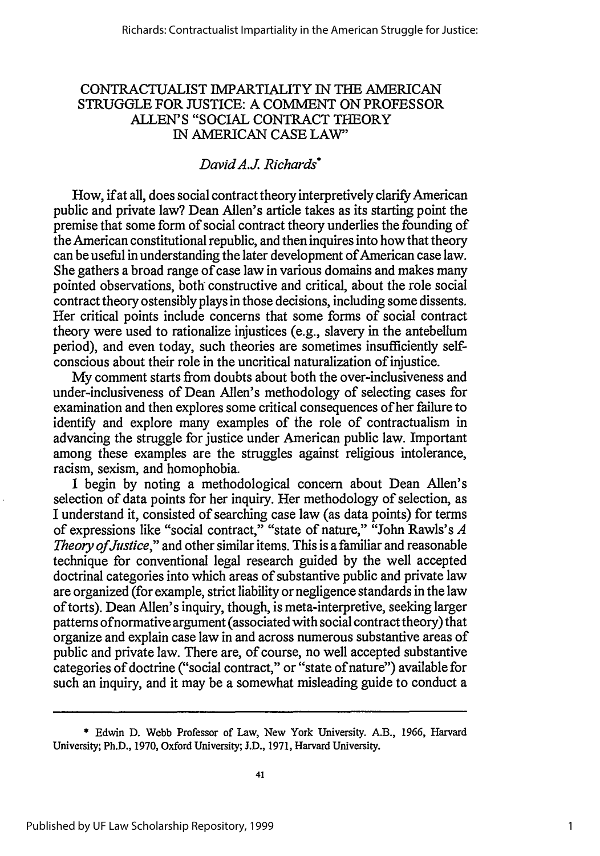# CONTRACTUALIST IMPARTIALITY IN THE AMERICAN STRUGGLE FOR JUSTICE: A COMMENT ON PROFESSOR ALLEN'S "SOCIAL CONTRACT THEORY IN AMERICAN CASE LAW'

## *David A.J Richards\**

How, if at all, does social contract theory interpretively clarify American public and private law? Dean Allen's article takes as its starting point the premise that some form of social contract theory underlies the founding of the American constitutional republic, and then inquires into how that theory can be useful in understanding the later development of American case law. She gathers a broad range of case law in various domains and makes many pointed observations, both constructive and critical, about the role social contract theory ostensibly plays in those decisions, including some dissents. Her critical points include concerns that some forms of social contract theory were used to rationalize injustices (e.g., slavery in the antebellum period), and even today, such theories are sometimes insufficiently selfconscious about their role in the uncritical naturalization of injustice.

My comment starts from doubts about both the over-inclusiveness and under-inclusiveness of Dean Allen's methodology of selecting cases for examination and then explores some critical consequences of her failure to identify and explore many examples of the role of contractualism in advancing the struggle for justice under American public law. Important among these examples are the struggles against religious intolerance, racism, sexism, and homophobia.

I begin by noting a methodological concern about Dean Allen's selection of data points for her inquiry. Her methodology of selection, as I understand it, consisted of searching case law (as data points) for terms of expressions like "social contract," "state of nature," "John Rawls's *A Theory of Justice*," and other similar items. This is a familiar and reasonable technique for conventional legal research guided **by** the well accepted doctrinal categories into which areas of substantive public and private law are organized (for example, strict liability or negligence standards in the law of torts). Dean Allen's inquiry, though, is meta-interpretive, seeking larger patterns of normative argument (associated with social contract theory) that organize and explain case law in and across numerous substantive areas of public and private law. There are, of course, no well accepted substantive categories of doctrine ("social contract," or "state of nature") available for such an inquiry, and it may be a somewhat misleading guide to conduct a

<sup>\*</sup> Edwin **D.** Webb Professor of Law, New York University. A.B., **1966,** Harvard University; Ph.D., 1970, Oxford University; J.D., 1971, Harvard University.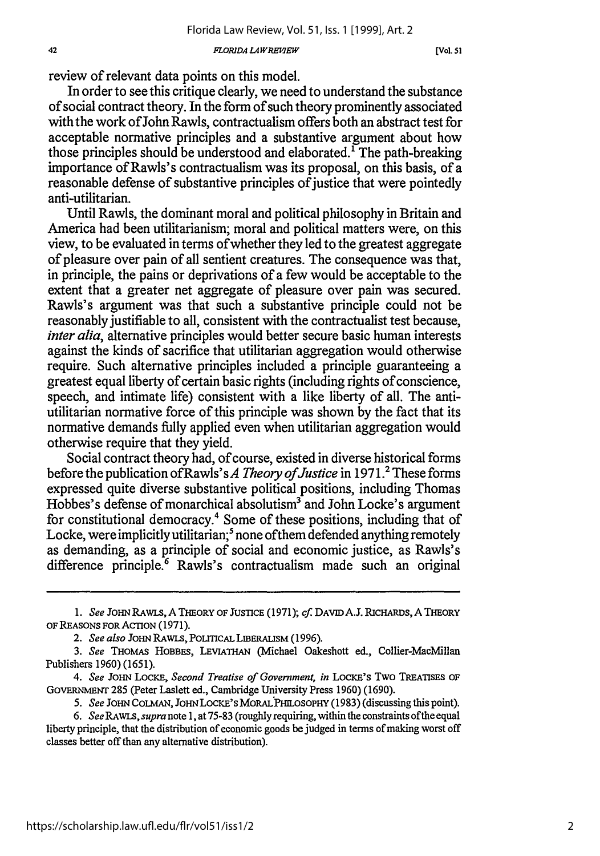#### *FLORIDA LA WREN]EW*

**[Vol. 51**

review of relevant data points on this model.

In order to see this critique clearly, we need to understand the substance of social contract theory. In the form of such theory prominently associated withthe work of John Rawls, contractualism offers both an abstract test for acceptable normative principles and a substantive argument about how those principles should be understood and elaborated.' The path-breaking importance of Rawls's contractualism was its proposal, on this basis, of a reasonable defense of substantive principles of justice that were pointedly anti-utilitarian.

Until Rawls, the dominant moral and political philosophy in Britain and America had been utilitarianism; moral and political matters were, on this view, to be evaluated in terms of whether they led to the greatest aggregate of pleasure over pain of all sentient creatures. The consequence was that, in principle, the pains or deprivations of a few would be acceptable to the extent that a greater net aggregate of pleasure over pain was secured. Rawls's argument was that such a substantive principle could not be reasonably justifiable to all, consistent with the contractualist test because, *inter alia*, alternative principles would better secure basic human interests against the kinds of sacrifice that utilitarian aggregation would otherwise require. Such alternative principles included a principle guaranteeing a greatest equal liberty of certain basic rights (including rights of conscience, speech, and intimate life) consistent with a like liberty of all. The antiutilitarian normative force of this principle was shown by the fact that its normative demands fully applied even when utilitarian aggregation would otherwise require that they yield.

Social contract theory had, of course, existed in diverse historical forms before the publication of Rawls's A *Theory of Justice* in 1971.<sup>2</sup> These forms expressed quite diverse substantive political positions, including Thomas Hobbes's defense of monarchical absolutism<sup>3</sup> and John Locke's argument for constitutional democracy.' Some of these positions, including that of Locke, were implicitly utilitarian;<sup>5</sup> none of them defended anything remotely as demanding, as a principle of social and economic justice, as Rawls's difference principle.<sup>6</sup> Rawls's contractualism made such an original

<sup>1.</sup> See JOHN RAWLS, A THEORY OF JUSTICE (1971); *cf.* DAVID A.J. RICHARDS, A THEORY OF **REASONS** FOR ACTION (1971).

<sup>2.</sup> See also JOHN RAWLS, POLITICAL LIBERALISM (1996).

*<sup>3.</sup> See* THOMAS HOBBES, LEvIATHAN (Michael Oakeshott ed., Collier-MacMillan Publishers 1960) (1651).

*<sup>4.</sup> See* JOHN LOCKE, *Second Treatise of Government, in* LocKE's Two TREATISES OF GOVERNMENT 285 (Peter Laslett ed., Cambridge University Press 1960) (1690).

*<sup>5.</sup> See* JoHN COLMAN, JoHNILOCKE's MORALPHmosoPHY (1983) (discussing this point).

*<sup>6.</sup> See RAwLS,supra note* **1,** at *75-83* (roughly requiring, within the constraints of the equal liberty principle, that the distribution of economic goods be judged in terms of making worst off classes better off than any alternative distribution).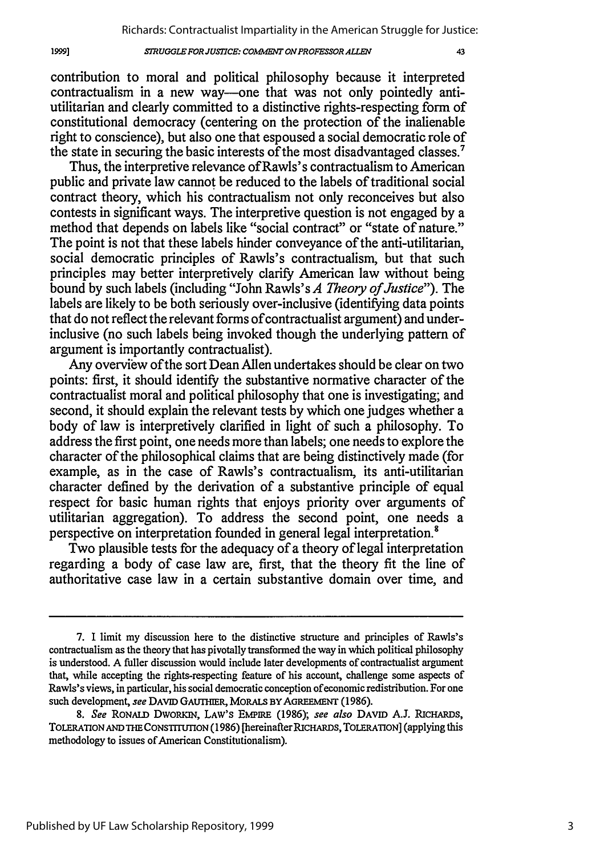#### *SMhUGGLE FOR JUSTICE: COMMENTONPROFESSOR ALLEN*

19991

43

contribution to moral and political philosophy because it interpreted contractualism in a new way-one that was not only pointedly antiutilitarian and clearly committed to a distinctive rights-respecting form of constitutional democracy (centering on the protection of the inalienable right to conscience), but also one that espoused a social democratic role of the state in securing the basic interests of the most disadvantaged classes.<sup>7</sup>

Thus, the interpretive relevance of Rawls's contractualism to American public and private law cannot be reduced to the labels of traditional social contract theory, which his contractualism not only reconceives but also contests in significant ways. The interpretive question is not engaged by a method that depends on labels like "social contract" or "state of nature." The point is not that these labels hinder conveyance of the anti-utilitarian, social democratic principles of Rawls's contractualism, but that such principles may better interpretively clarify American law without being bound by such labels (including "John Rawls's *A Theory of Justice").* The labels are likely to be both seriously over-inclusive (identifying data points that do not reflect the relevant forms of contractualist argument) and underinclusive (no such labels being invoked though the underlying pattern of argument is importantly contractualist).

Any overview of the sort Dean Allen undertakes should be clear on two points: first, it should identify the substantive normative character of the contractualist moral and political philosophy that one is investigating; and second, it should explain the relevant tests by which one judges whether a body of law is interpretively clarified in light of such a philosophy. To address the first point, one needs more than labels; one needs to-explore the character of the philosophical claims that are being distinctively made (for example, as in the case of Rawls's contractualism, its anti-utilitarian character defined by the derivation of a substantive principle of equal respect for basic human rights that enjoys priority over arguments of utilitarian aggregation). To address the second point, one needs a perspective on interpretation founded in general legal interpretation.8

Two plausible tests for the adequacy of a theory of legal interpretation regarding a body of case law are, first, that the theory fit the line of authoritative case law in a certain substantive domain over time, and

<sup>7.</sup> I limit my discussion here to the distinctive structure and principles of Rawls's contractualism as the theory that has pivotally transformed the way in which political philosophy is understood. A fuller discussion would include later developments of contractualist argument that, while accepting the rights-respecting feature of his account, challenge some aspects of Rawls's views, in particular, his social democratic conception ofeconomic redistribution. For one such development, *see* DAVID GAUTHIER, MORALS BY AGREEMENT (1986).

*<sup>8.</sup> See* RONALD DWORKIn, LAW'S **EMPIRE** (1986); *see also* DAVID **A.J.** RICHARDS, TOLFRATON **AND THE CONSTTUTiON** (1986) [hereinafter RICHARDS, TOLERATION] (applying this methodology to issues of American Constitutionalism).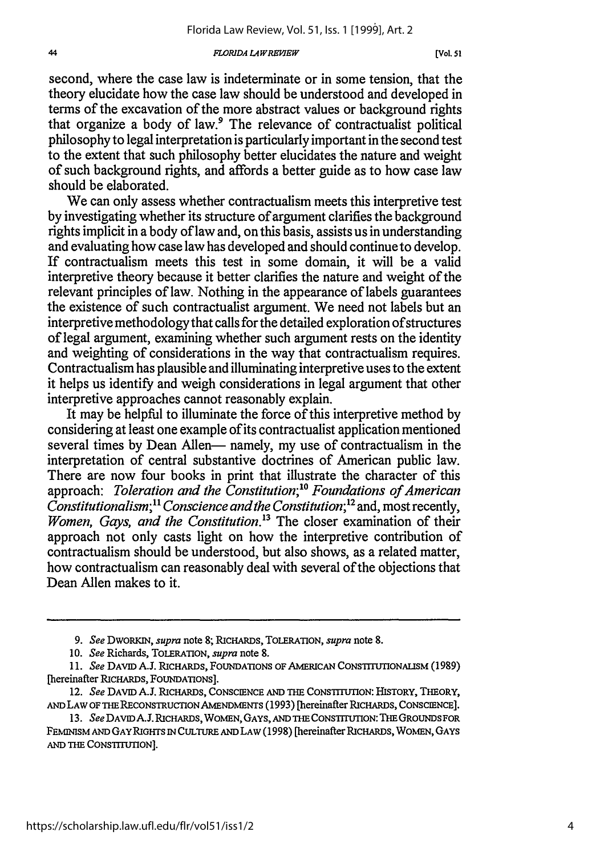#### *FLORIDA L4WREMEW*

second, where the case law is indeterminate or in some tension, that the theory elucidate how the case law should be understood and developed in terms of the excavation of the more abstract values or background rights that organize a body of law.<sup>9</sup> The relevance of contractualist political philosophy to legal interpretation is particularly important in the second test to the extent that such philosophy better elucidates the nature and weight of such background rights, and affords a better guide as to how case law should be elaborated.

We can only assess whether contractualism meets this interpretive test by investigating whether its structure of argument clarifies the background rights implicit in a body of law and, on this basis, assists us in understanding and evaluating how case law has developed and should continue to develop. If contractualism meets this test in some domain, it will be a valid interpretive theory because it better clarifies the nature and weight of the relevant principles of law. Nothing in the appearance of labels guarantees the existence of such contractualist argument. We need not labels but an interpretive methodology that calls forthe detailed exploration of structures of legal argument, examining whether such argument rests on the identity and weighting of considerations in the way that contractualism requires. Contractualism has plausible and illuminating interpretive uses to the extent it helps us identify and weigh considerations in legal argument that other interpretive approaches cannot reasonably explain.

It may be helpful to illuminate the force of this interpretive method by considering at least one example of its contractualist application mentioned several times by Dean Allen- namely, my use of contractualism in the interpretation of central substantive doctrines of American public law. There are now four books in print that illustrate the character of this approach: *Toleration and the Constitution;"° Foundations of American Constitutionalism; Conscience andthe Constitution;"z* and, most recently, *Women, Gays, and the Constitution.*<sup>13</sup> The closer examination of their approach not only casts light on how the interpretive contribution of contractualism should be understood, but also shows, as a related matter, how contractualism can reasonably deal with several of the objections that Dean Allen makes to it.

*<sup>9.</sup> See* DWORKIN, *supra* note **8;** RICHARDS, **TOLERATION,** *supra* note **8.**

<sup>10.</sup> See Richards, TOLERATION, *supra* note 8.

*<sup>11.</sup> See* DAVID A.J. RICHARDS, FOUNDATIONS **OF** AMERICAN CONSTrIUIONALiSM (1989) [hereinafter RICHARDS, **FOUNDATIONS].**

<sup>12.</sup> *See* **DAVID A.J.** RICHARDS, **CONSCIENCE AND THE** CONSTrTON: HISTORY, THEORY, **AND** LAW OF **THE REcoNSTRUCTIONAMENDMENTS** (1993) [hereinafter RICHARDS, **CONSCIENCE].**

<sup>13.</sup> *See DAVID* A.J. **RICHARDS,** WOMEN, **GAYS, AND** *THE* **CONSTITIrON:** *THE* GROUNDS **FOR FEMINISM** AND GAYRIGHTS IN CULTURE **AND** LAW (1998) [hereinafter **RICHARDS,** WOMEN, GAYS **AND THE CONSTITUTION].**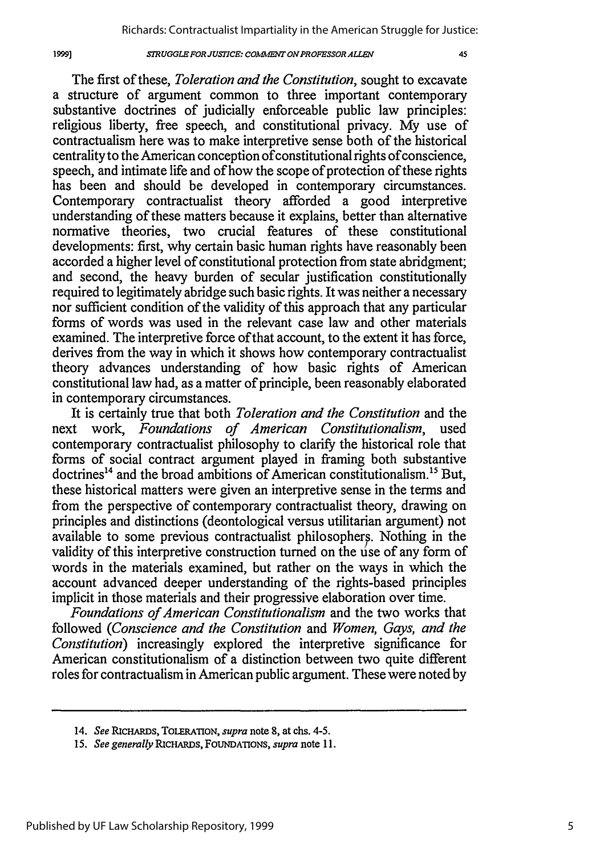#### **STRUGGLE FOR JUSTICE: COMMENT ON PROFESSOR ALLEN** 19991

The first of these, *Toleration and the Constitution,* sought to excavate a structure of argument common to three important contemporary substantive doctrines of judicially enforceable public law principles: religious liberty, free speech, and constitutional privacy. My use of contractualism here was to make interpretive sense both of the historical centrality to the American conception of constitutional rights of conscience, speech, and intimate life and of how the scope of protection of these rights has been and should be developed in contemporary circumstances. Contemporary contractualist theory afforded a good interpretive understanding of these matters because it explains, better than alternative normative theories, two crucial features of these constitutional developments: first, why certain basic human rights have reasonably been accorded a higher level of constitutional protection from state abridgment; and second, the heavy burden of secular justification constitutionally required to legitimately abridge such basic rights. It was neither a necessary nor sufficient condition of the validity of this approach that any particular forms of words was used in the relevant case law and other materials examined. The interpretive force of that account, to the extent it has force, derives from the way in which it shows how contemporary contractualist theory advances understanding of how basic rights of American constitutional law had, as a matter of principle, been reasonably elaborated in contemporary circumstances.

It is certainly true that both *Toleration and the Constitution* and the next work, *Foundations of American Constitutionalism,* used contemporary contractualist philosophy to clarify the historical role that forms of social contract argument played in framing both substantive doctrines<sup>14</sup> and the broad ambitions of American constitutionalism.<sup>15</sup> But, these historical matters were given an interpretive sense in the terms and from the perspective of contemporary contractualist theory, drawing on principles and distinctions (deontological versus utilitarian argument) not available to some previous contractualist philosophers. Nothing in the validity of this interpretive construction turned on the use of any form of words in the materials examined, but rather on the ways in which the account advanced deeper understanding of the rights-based principles implicit in those materials and their progressive elaboration over time.

*Foundations of American Constitutionalism* and the two works that followed *(Conscience and the Constitution* and *Women, Gays, and the Constitution)* increasingly explored the interpretive significance for American constitutionalism of a distinction between two quite different roles for contractualism in American public argument. These were noted by

<sup>14.</sup> *See* RicHARDs, TOLERATION, *supra* note **8,** at chs. 4-5.

<sup>15.</sup> *See generally* RIcHARDs, **FouNDATIONS,** *supra* note 11.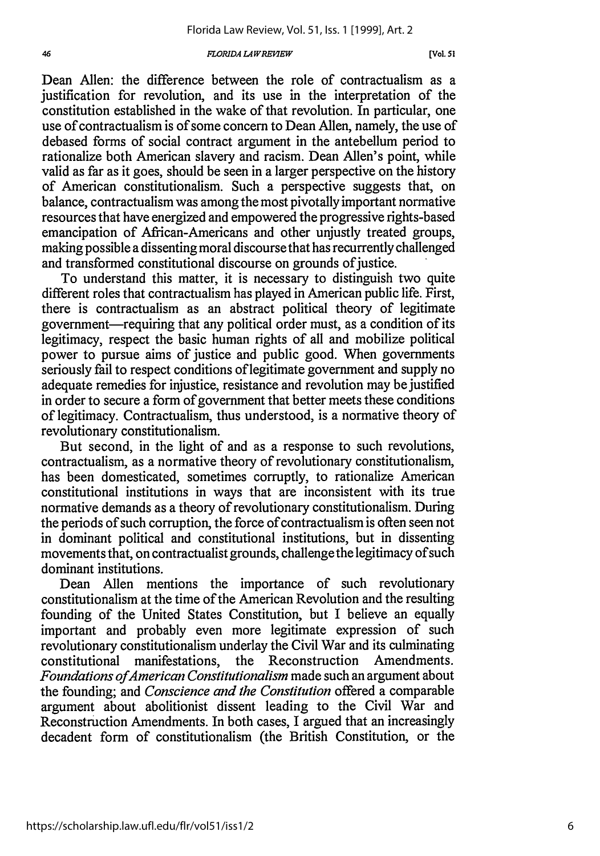#### *FLWRIDA L4WREKIEW*

**[Vol. 51**

Dean Allen: the difference between the role of contractualism as a justification for revolution, and its use in the interpretation of the constitution established in the wake of that revolution. In particular, one use of contractualism is of some concern to Dean Allen, namely, the use of debased forms of social contract argument in the antebellum period to rationalize both American slavery and racism. Dean Allen's point, while valid as far as it goes, should be seen in a larger perspective on the history of American constitutionalism. Such a perspective suggests that, on balance, contractualism was among the most pivotally important normative resources that have energized and empowered the progressive rights-based emancipation of African-Americans and other unjustly treated groups, making possible a dissenting moral discourse that has recurrently challenged and transformed constitutional discourse on grounds of justice.

To understand this matter, it is necessary to distinguish two quite different roles that contractualism has played in American public life. First, there is contractualism as an abstract political theory of legitimate government-requiring that any political order must, as a condition of its legitimacy, respect the basic human rights of all and mobilize political power to pursue aims of justice and public good. When governments seriously fail to respect conditions of legitimate government and supply no adequate remedies for injustice, resistance and revolution may be justified in order to secure a form of government that better meets these conditions of legitimacy. Contractualism, thus understood, is a normative theory of revolutionary constitutionalism.

But second, in the light of and as a response to such revolutions, contractualism, as a normative theory of revolutionary constitutionalism, has been domesticated, sometimes corruptly, to rationalize American constitutional institutions in ways that are inconsistent with its true normative demands as a theory of revolutionary constitutionalism. During the periods of such corruption, the force of contractualism is often seen not in dominant political and constitutional institutions, but in dissenting movements that, on contractualist grounds, challenge the legitimacy of such dominant institutions.

Dean Allen mentions the importance of such revolutionary constitutionalism at the time of the American Revolution and the resulting founding of the United States Constitution, but I believe an equally important and probably even more legitimate expression of such revolutionary constitutionalism underlay the Civil War and its culminating constitutional manifestations, the Reconstruction Amendments. *Foundations ofAmerican Constitutionalism* made such an argument about the founding; and *Conscience and the Constitution* offered a comparable argument about abolitionist dissent leading to the Civil War and Reconstruction Amendments. In both cases, I argued that an increasingly decadent form of constitutionalism (the British Constitution, or the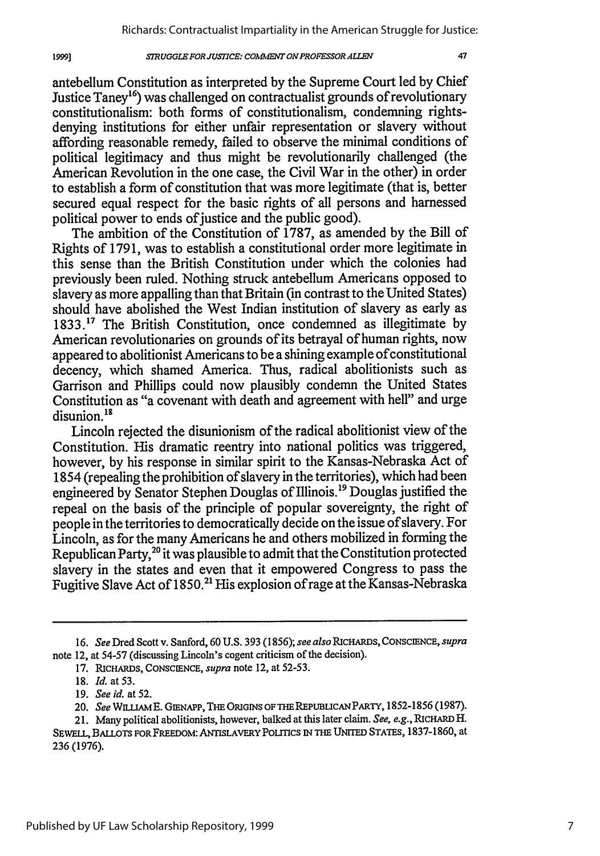#### *STR UGGLEFOR JUSTICE: COMIENT ON PROFESSOR ALLEN*

antebellum Constitution as interpreted by the Supreme Court led by Chief Justice Taney<sup>16</sup>) was challenged on contractualist grounds of revolutionary constitutionalism: both forms of constitutionalism, condemning rightsdenying institutions for either unfair representation or slavery without affording reasonable remedy, failed to observe the minimal conditions of political legitimacy and thus might be revolutionarily challenged (the American Revolution in the one case, the Civil War in the other) in order to establish a form of constitution that was more legitimate (that is, better secured equal respect for the basic rights of all persons and harnessed political power to ends of justice and the public good).

The ambition of the Constitution of 1787, as amended by the Bill of Rights of 1791, was to establish a constitutional order more legitimate in this sense than the British Constitution under which the colonies had previously been ruled. Nothing struck antebellum Americans opposed to slavery as more appalling than that Britain (in contrast to the United States) should have abolished the West Indian institution of slavery as early as 1833.17 The British Constitution, once condemned as illegitimate by American revolutionaries on grounds of its betrayal of human rights, now appeared to abolitionist Americans to be a shining example of constitutional decency, which shamed America. Thus, radical abolitionists such as Garrison and Phillips could now plausibly condemn the United States Constitution as "a covenant with death and agreement with hell" and urge disunion.<sup>18</sup>

Lincoln rejected the disunionism of the radical abolitionist view of the Constitution. His dramatic reentry into national politics was triggered, however, by his response in similar spirit to the Kansas-Nebraska Act of 1854 (repealing the prohibition of slavery in the territories), which had been engineered by Senator Stephen Douglas of Illinois.<sup>19</sup> Douglas justified the repeal on the basis of the principle of popular sovereignty, the right of people in the territories to democratically decide on the issue of slavery. For Lincoln, as for the many Americans he and others mobilized in forming the Republican Party,<sup>20</sup> it was plausible to admit that the Constitution protected slavery in the states and even that it empowered Congress to pass the Fugitive Slave Act of 1850.<sup>21</sup> His explosion of rage at the Kansas-Nebraska

1999]

*<sup>16.</sup> See* Dred Scott **v.** Sanford, **60** U.S. **393** (1856); *see also* RICHARDS, CONSCIENCE, *supra* note 12, at 54-57 (discussing Lincoln's cogent criticism of the decision).

<sup>17.</sup> RICHARDS, **CONSCIENCE,** *supra* note 12, at 52-53.

<sup>18.</sup> *Id.* at 53.

*<sup>19.</sup> See id.* at 52.

<sup>20.</sup> *See* **WnU..AME.** GIENAPP, **THE ORIGINS OFTHEREPuBLiCANPARTY,** 1852-1856 (1987).

<sup>21.</sup> Many political abolitionists, however, balked at this later claim. *See, e.g.,* RICHARD H. SEwELL, BALLOTS FOR FREEDOM: ANTISLAVERYPOLITICS IN THE UNITED STATES, 1837-1860, at 236 (1976).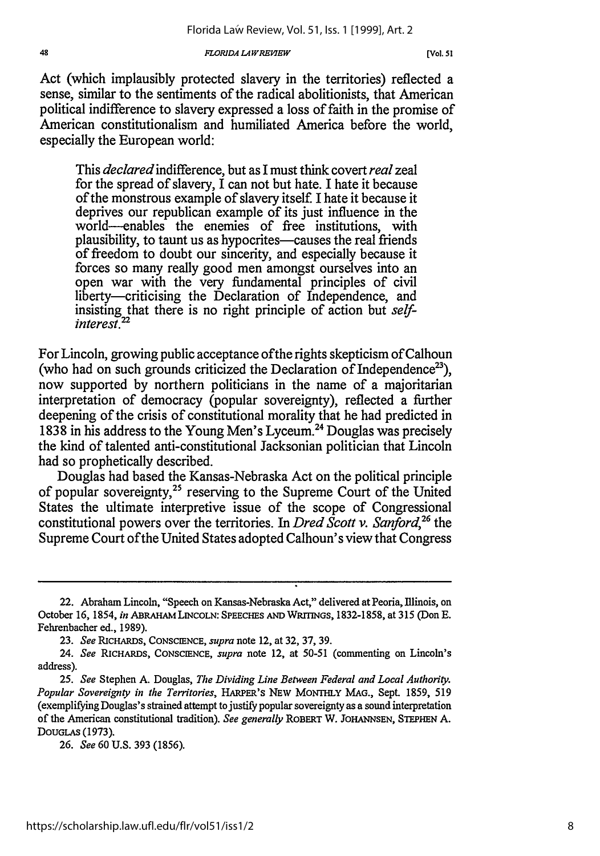**FLORIDA LAW REVIEW** 

Act (which implausibly protected slavery in the territories) reflected a sense, similar to the sentiments of the radical abolitionists, that American political indifference to slavery expressed a loss of faith in the promise of American constitutionalism and humiliated America before the world, especially the European world:

This *declared* indifference, but as I must think covert *real* zeal for the spread of slavery, I can not but hate. I hate it because of the monstrous example of slavery itself. I hate it because it deprives our republican example of its just influence in the world-enables the enemies of free institutions, with plausibility, to taunt us as hypocrites—causes the real friends of freedom to doubt our sincerity, and especially because it forces so many really good men amongst ourselves into an open war with the very fundamental principles of civil liberty—criticising the Declaration of Independence, and insisting that there is no right principle of action but *selfinterest.22*

For Lincoln, growing public acceptance of the rights skepticism of Calhoun (who had on such grounds criticized the Declaration of Independence<sup>23</sup>), now supported by northern politicians in the name of a majoritarian interpretation of democracy (popular sovereignty), reflected a further deepening of the crisis of constitutional morality that he had predicted in 1838 in his address to the Young Men's Lyceum.<sup>24</sup> Douglas was precisely the kind of talented anti-constitutional Jacksonian politician that Lincoln had so prophetically described.

Douglas had based the Kansas-Nebraska Act on the political principle of popular sovereignty,25 reserving to the Supreme Court of the United States the ultimate interpretive issue of the scope of Congressional constitutional powers over the territories. In *Dred Scott v. Sanford,26* the Supreme Court of the United States adopted Calhoun's view that Congress

<sup>22.</sup> Abraham Lincoln, "Speech on Kansas-Nebraska Act," delivered at Peoria, Illinois, on October 16, 1854, *in* ABRAHAM LINCOLN: **SPEECHES AND WRINGS,** 1832-1858, at 315 (Don E. Fehrenbacher ed., 1989).

<sup>23.</sup> *See* RICHARDS, **CONSCIENCE,** *supra* note 12, at 32, 37, 39.

<sup>24.</sup> *See* RICHARDS, **CONSCIENCE,** *supra* note 12, at 50-51 (commenting on Lincoln's address).

<sup>25.</sup> *See* Stephen A. Douglas, *The Dividing Line Between Federal and Local Authority. Popular Sovereignty in the Territories, HARPER'S NEW MONTHLY MAG., Sept. 1859, 519* (exemplifying Douglas's strained attempt to justify popular sovereignty as a sound interpretation of the American constitutional tradition). *See generally* ROBERT W. **JOHANNSEN, STEPHEN A.** DOUGLAS (1973).

*<sup>26.</sup> See* 60 U.S. 393 (1856).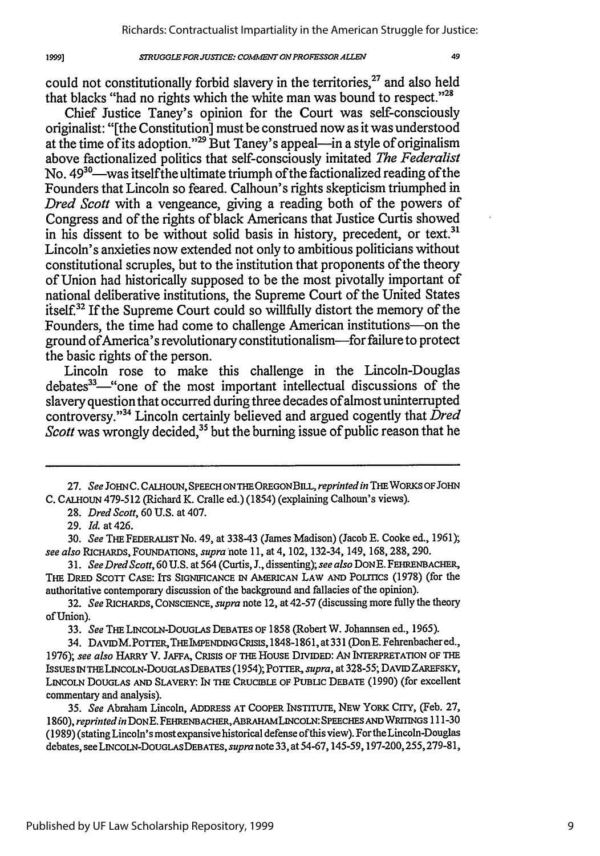#### *SIRUGGLE FOR JUSTICE: COMMEWT ONPROFESSORALLEN*

could not constitutionally forbid slavery in the territories,<sup>27</sup> and also held that blacks "had no rights which the white man was bound to respect."<sup>28</sup>

Chief Justice Taney's opinion for the Court was self-consciously originalist: "[the Constitution] must be construed now as it was understood at the time of its adoption."<sup>29</sup> But Taney's appeal—in a style of originalism above factionalized politics that self-consciously imitated *The Federalist* No.  $49^{30}$ —was itself the ultimate triumph of the factionalized reading of the Founders that Lincoln so feared. Calhoun's rights skepticism triumphed in *Dred Scott* with a vengeance, giving a reading both of the powers of Congress and of the rights of black Americans that Justice Curtis showed in his dissent to be without solid basis in history, precedent, or text.<sup>31</sup> Lincoln's anxieties now extended not only to ambitious politicians without constitutional scruples, but to the institution that proponents of the theory of Union had historically supposed to be the most pivotally important of national deliberative institutions, the Supreme Court of the United States itself.32 If the Supreme Court could so willfully distort the memory of the Founders, the time had come to challenge American institutions-on the ground ofAmerica's revolutionary constitutionalism-for failure to protect the basic rights of the person.

Lincoln rose to make this challenge in the Lincoln-Douglas debates<sup>33</sup>—"one of the most important intellectual discussions of the slavery question that occurred during three decades of almost uninterrupted controversy.' 34 Lincoln certainly believed and argued cogently that *Dred Scott* was wrongly decided,<sup>35</sup> but the burning issue of public reason that he

19991

- *31. See DredScott,* 60 U.S. at 564 (Curtis, J., dissenting); *see also* DONE. FEHRENBACHER, THE DRED SCOTT CASE: ITS SIGNIFICANCE IN AMERICAN LAW AND POLITICS (1978) (for the authoritative contemporary discussion of the background and fallacies of the opinion).
- 32. *See* RICHARDS, CONSCIENCE, *supra* note 12, at 42-57 (discussing more fully the theory of Union).

33. *See* THE LINCOLN-DOUGLAS DEBATES OF 1858 (Robert W. Johannsen ed., 1965).

34. DAVIDM.POTTER, THE IMPENDING CRISIS, 1848-1861, at 331 (Don E. Fehrenbachered., 1976); *see also* HARRY V. JAFFA, CRISIS OF THE HOUSE DIVIDED: AN INTERPRETATION OF THE ISSUES INTHE LINCOLN-DOUGLAS DEBATES (1954); POTrER, *supra,* at 328-55; DAVID ZAREFSKY, LINCOLN DOUGLAS AND SLAVERY: IN THE CRUCIBLE OF PUBLIC DEBATE (1990) (for excellent commentary and analysis).

35. *See* Abraham Lincoln, ADDRESS AT COOPER INSTITUTE, NEW YORK CITY, (Feb. 27, 1860), *reprinted in* DONE. FEHRENBACHER,ABRAHAMLINCOLN: SPEECHES AND WRITNGS 111-30 (1989) (stating Lincoln's most expansive historical defense ofthis view). FortheLincoln-Douglas debates, see LINCOLN-DOUGLASDEBATES, *supra* note 33, at 54-67,145-59,197-200,255,279-81,

<sup>27.</sup> *See* JOHN C. CALHOUN, SPEECH ON THE OREGONBILL, *reprinted in* THE *WORKS* OFJOHN C. CALHOUN 479-512 (Richard K. Cralle ed.) (1854) (explaining Calhoun's views).

<sup>28.</sup> *Dred Scott,* 60 U.S. at 407.

<sup>29.</sup> *Id.* at 426.

<sup>30.</sup> *See* **THE** FEDERAUST No. 49, at 338-43 (James Madison) (Jacob E. Cooke ed., 1961); *see also* RICHARDS, FOUNDATIONS, *supra note* 11, at 4, 102, 132-34, 149, 168,288,290.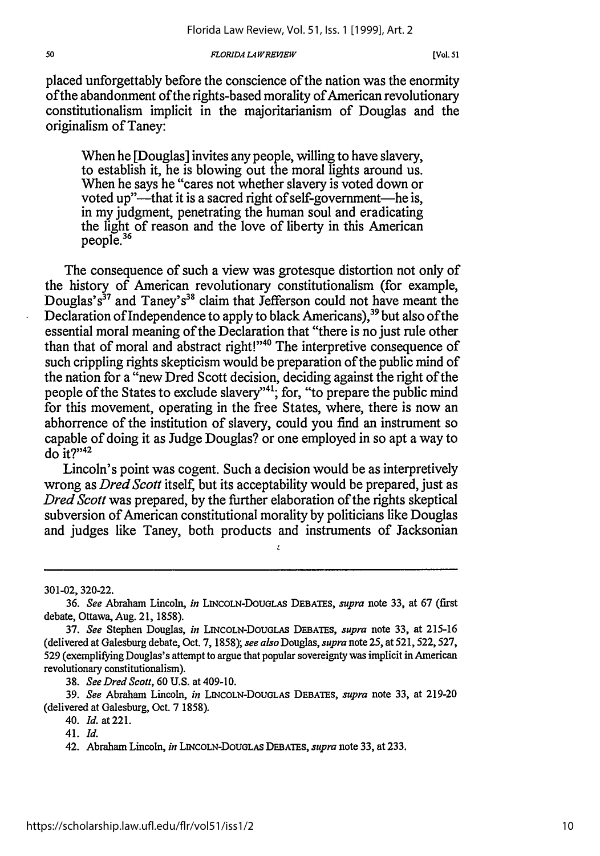*FLORIDA L4WREP'EW*

placed unforgettably before the conscience of the nation was the enormity of the abandonment of the rights-based morality of American revolutionary constitutionalism implicit in the majoritarianism of Douglas and the originalism of Taney:

When he [Douglas] invites any people, willing to have slavery, to establish it, he is blowing out the moral lights around us. When he says he "cares not whether slavery is voted down or voted up"—that it is a sacred right of self-government—he is, in my judgment, penetrating the human soul and eradicating the light of reason and the love of liberty in this American people.<sup>36</sup>

The consequence of such a view was grotesque distortion not only of the history of American revolutionary constitutionalism (for example, Douglas's<sup>37</sup> and Taney's<sup>38</sup> claim that Jefferson could not have meant the Declaration of Independence to apply to black Americans),<sup>39</sup> but also of the essential moral meaning of the Declaration that "there is no just rule other than that of moral and abstract right!"<sup>40</sup> The interpretive consequence of such crippling rights skepticism would be preparation of the public mind of the nation for a "new Dred Scott decision, deciding against the right of the people of the States to exclude slavery"41; for, "to prepare the public mind for this movement, operating in the free States, where, there is now an abhorrence of the institution of slavery, could you find an instrument so capable of doing it as Judge Douglas? or one employed in so apt a way to do it?"42

Lincoln's point was cogent. Such a decision would be as interpretively wrong as *Dred Scott* itself, but its acceptability would be prepared, just as *Dred Scott* was prepared, by the further elaboration of the rights skeptical subversion of American constitutional morality by politicians like Douglas and judges like Taney, both products and instruments of Jacksonian

Ł

301-02, 320-22.

38. *See Dred Scott,* 60 U.S. at 409-10.

39. *See* Abraham Lincoln, *in* LINCOLN-DOUGLAS DEBATES, *supra* note 33, at 219-20 (delivered at Galesburg, Oct. 7 1858).

40. *Id.* at 221.

<sup>36.</sup> *See* Abraham Lincoln, *in* LINCOLN-DOUGLAS **DEBATES,** *supra* note **33,** at 67 (first debate, Ottawa, Aug. 21, 1858).

<sup>37.</sup> *See* Stephen Douglas, *in* LINCOLN-DOUGLAS DEBATES, *supra* note 33, at 215-16 (delivered at Galesburg debate, Oct. 7, 1858); *see also Douglas, supra* note 25, at 521, 522, 527, 529 (exemplifying Douglas's attempt to argue that popular sovereignty was implicit in American revolutionary constitutionalism).

<sup>41.</sup> *Id.*

<sup>42.</sup> Abraham Lincoln, *in* LINCOLN-DOUGLAS DEBATES, *supra* note **33,** at 233.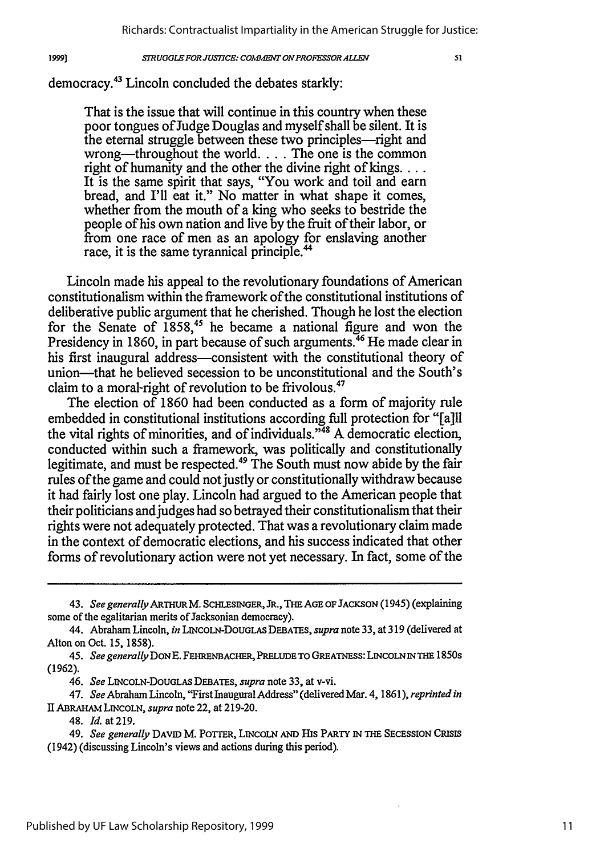#### 19991

#### *STRUGGLE FOR JUSTUCE: COA DMN ON PROFESSOR ALLEN*

democracy. 43 Lincoln concluded the debates starkly:

That is the issue that will continue in this country when these poor tongues of Judge Douglas and myself shall be silent. It is the eternal struggle between these two principles-right and wrong—throughout the world.... The one is the common right of humanity and the other the divine right of kings.... It is the same spirit that says, "You work and toil and earn bread, and I'll eat it." No matter in what shape it comes, whether from the mouth of a king who seeks to bestride the people of his own nation and live by the fruit of their labor, or from one race of men as an apology for enslaving another race, it is the same tyrannical principle.<sup>44</sup>

Lincoln made his appeal to the revolutionary foundations of American constitutionalism within the framework of the constitutional institutions of deliberative public argument that he cherished. Though he lost the election for the Senate of  $1858$ <sup>45</sup> he became a national figure and won the Presidency in 1860, in part because of such arguments.<sup>46</sup> He made clear in his first inaugural address-consistent with the constitutional theory of union-that he believed secession to be unconstitutional and the South's claim to a moral-right of revolution to be frivolous.<sup>47</sup>

The election of 1860 had been conducted as a form of majority rule embedded in constitutional institutions according full protection for "[a]ll the vital rights of minorities, and of individuals."'48 A democratic election, conducted within such a framework, was politically and constitutionally legitimate, and must be respected.<sup>49</sup> The South must now abide by the fair rules of the game and could not justly or constitutionally withdraw because it had fairly lost one play. Lincoln had argued to the American people that their politicians and judges had so betrayed their constitutionalism that their rights were not adequately protected. That was a revolutionary claim made in the context of democratic elections, and his success indicated that other forms of revolutionary action were not yet necessary. In fact, some of the

49. See generally DAVID M. POTTER, LINCOLN AND HIS PARTY IN THE SECESSION CRISIS (1942) (discussing Lincoln's views and actions during this period).

<sup>43.</sup> *See generally* ARTHuRM. SCHLESINGER, JR., **THEAGE** OF *JACKSON* (1945) (explaining some of the egalitarian merits of Jacksonian democracy).

<sup>44.</sup> Abraham Lincoln, *in* LNCOLN-DOUGLAS DEBATEs, *supra* note 33, at 319 (delivered at Alton on Oct. 15, 1858).

<sup>45.</sup> *See generally* DONE. FEHRENBACHER, PRELUDE *TO* GREATNESS: LINCOLNIN *THE* 1850s (1962).

<sup>46.</sup> *See* LINCOLN-DOUGLAS DEBATES, *supra* note 33, at v-vi.

<sup>47.</sup> *See* Abraham Lincoln, "First Inaugural Address" (delivered Mar. 4, 1861), *reprinted in* **II** ABRAHAM LINCOLN, *supra* note 22, at **219-20.**

<sup>48.</sup> Id. at 219.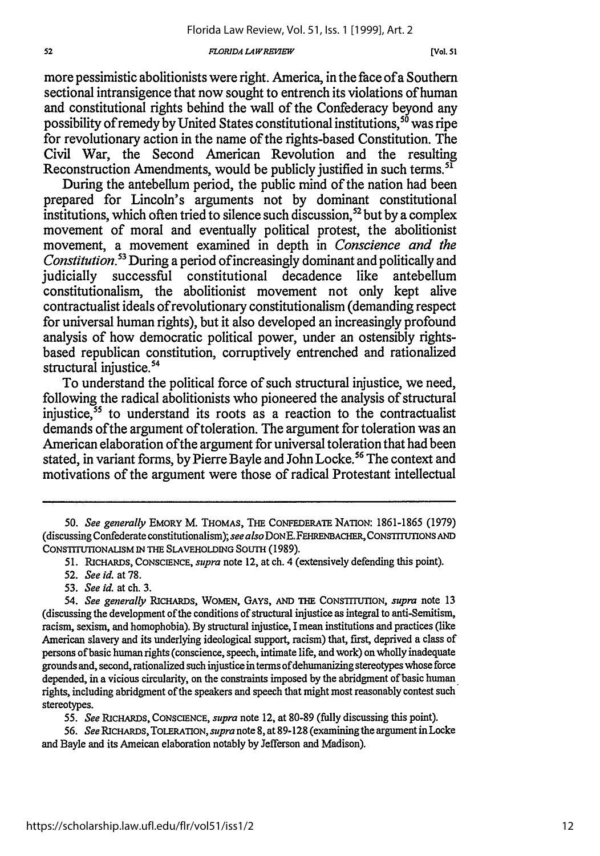#### *FLORIDA LAWREW[EW*

more pessimistic abolitionists were right. America, in the face of a Southern sectional intransigence that now sought to entrench its violations of human and constitutional rights behind the wall of the Confederacy beyond any possibility of remedy by United States constitutional institutions,  $^{50}$  was ripe for revolutionary action in the name of the rights-based Constitution. The Civil War, the Second American Revolution and the resulting Reconstruction Amendments, would be publicly justified in such terms. $5\overline{1}$ 

During the antebellum period, the public mind of the nation had been prepared for Lincoln's arguments not by dominant constitutional institutions, which often tried to silence such discussion,  $52$  but by a complex movement of moral and eventually political protest, the abolitionist movement, a movement examined in depth in *Conscience and the Constitution.3* During a period of increasingly dominant and politically and judicially successful constitutional decadence like antebellum constitutionalism, the abolitionist movement not only kept alive contractualist ideals of revolutionary constitutionalism (demanding respect for universal human rights), but it also developed an increasingly profound analysis of how democratic political power, under an ostensibly rightsbased republican constitution, corruptively entrenched and rationalized structural injustice.<sup>5</sup>

To understand the political force of such structural injustice, we need, following the radical abolitionists who pioneered the analysis of structural injustice,<sup>55</sup> to understand its roots as a reaction to the contractualist demands of the argument of toleration. The argument for toleration was an American elaboration of the argument for universal toleration that had been stated, in variant forms, by Pierre Bayle and John Locke.<sup>56</sup> The context and motivations of the argument were those of radical Protestant intellectual

*53. Seeid.* atch. 3.

*54. See generally* RICHARDS, WOMEN, GAYS, **AND** THE CONSTITUTION, *supra* note 13 (discussing the development of the conditions of structural injustice as integral to anti-Semitism, racism, sexism, and homophobia). **By** structural injustice, I mean institutions and practices (like American slavery and its underlying ideological support, racism) that, first, deprived a class of persons of basic human rights (conscience, speech, intimate life, and work) on wholly inadequate grounds and, second, rationalized such injustice in terms of dehumanizing stereotypes whose force depended, in a vicious circularity, on the constraints imposed by the abridgment of basic human rights, including abridgment of the speakers and speech that might most reasonably contest such stereotypes.

*55. See* RICHARDS, CONSCIENCE, *supra* note 12, at 80-89 (fully discussing this point).

*56. See* RICHARDS, TOLERATION, *supra* note 8, at 89-128 (examining the argument in Locke and Bayle and its Ameican elaboration notably by Jefferson and Madison).

<sup>50.</sup> *See generally* EMORY M. THOMAS, THE CONFEDERATE NATION: 1861-1865 (1979) (discussing Confederate constitutionalism); see also DONE. FEHRENBACHER, CONSTITUTIONS AND CONSTITLITIONALISM IN THE SLAVEHOLDING **SOUTH** (1989).

*<sup>51.</sup>* RICHARDS, CONSCIENCE, *supra* note 12, at ch. 4 (extensively defending this point).

<sup>52.</sup> *See id.* at 78.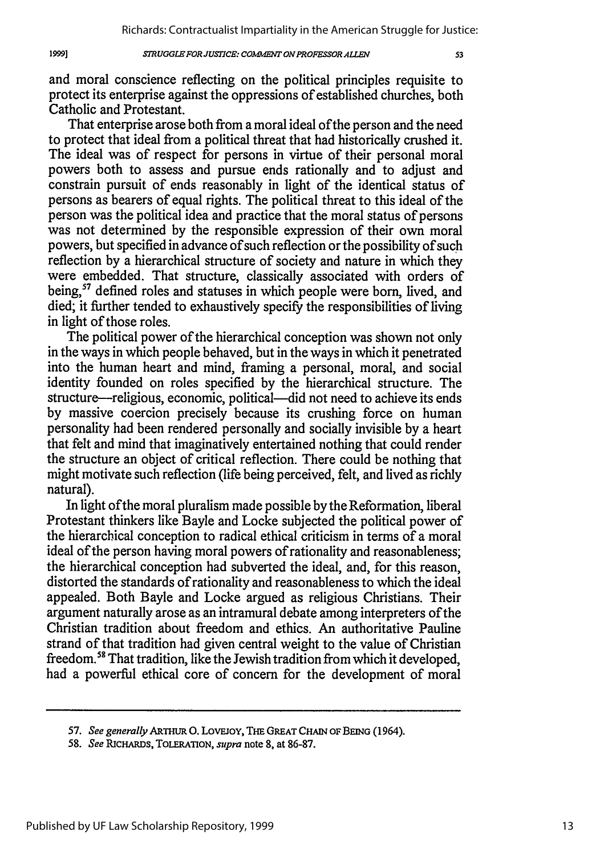#### 19991 *STRUGGLEFOR JUSTICE: COMMEAT ON PROFESSOR ALLEN*

and moral conscience reflecting on the political principles requisite to protect its enterprise against the oppressions of established churches, both Catholic and Protestant.

That enterprise arose both from a moral ideal of the person and the need to protect that ideal from a political threat that had historically crushed it. The ideal was of respect for persons in virtue of their personal moral powers both to assess and pursue ends rationally and to adjust and constrain pursuit of ends reasonably in light of the identical status of persons as bearers of equal rights. The political threat to this ideal of the person was the political idea and practice that the moral status of persons was not determined by the responsible expression of their own moral powers, but specified in advance of such reflection or the possibility of such reflection by a hierarchical structure of society and nature in which they were embedded. That structure, classically associated with orders of being,<sup>57</sup> defined roles and statuses in which people were born, lived, and died; it further tended to exhaustively specify the responsibilities of living in light of those roles.

The political power of the hierarchical conception was shown not only in the ways in which people behaved, but in the ways in which it penetrated into the human heart and mind, framing a personal, moral, and social identity founded on roles specified by the hierarchical structure. The structure-religious, economic, political-did not need to achieve its ends by massive coercion precisely because its crushing force on human personality had been rendered personally and socially invisible by a heart that felt and mind that imaginatively entertained nothing that could render the structure an object of critical reflection. There could be nothing that might motivate such reflection (life being perceived, felt, and lived as richly natural).

In light of the moral pluralism made possible by the Reformation, liberal Protestant thinkers like Bayle and Locke subjected the political power of the hierarchical conception to radical ethical criticism in terms of a moral ideal of the person having moral powers of rationality and reasonableness; the hierarchical conception had subverted the ideal, and, for this reason, distorted the standards of rationality and reasonableness to which the ideal appealed. Both Bayle and Locke argued as religious Christians. Their argument naturally arose as an intramural debate among interpreters of the Christian tradition about freedom and ethics. An authoritative Pauline strand of that tradition had given central weight to the value of Christian freedom.<sup>58</sup> That tradition, like the Jewish tradition from which it developed, had a powerful ethical core of concern for the development of moral

<sup>57.</sup> See generally ARTHUR O. LOVEJOY, THE GREAT CHAIN OF BEING (1964).

<sup>58.</sup> *See* RicHARns, ToLERATION, *supra* note 8, at 86-87.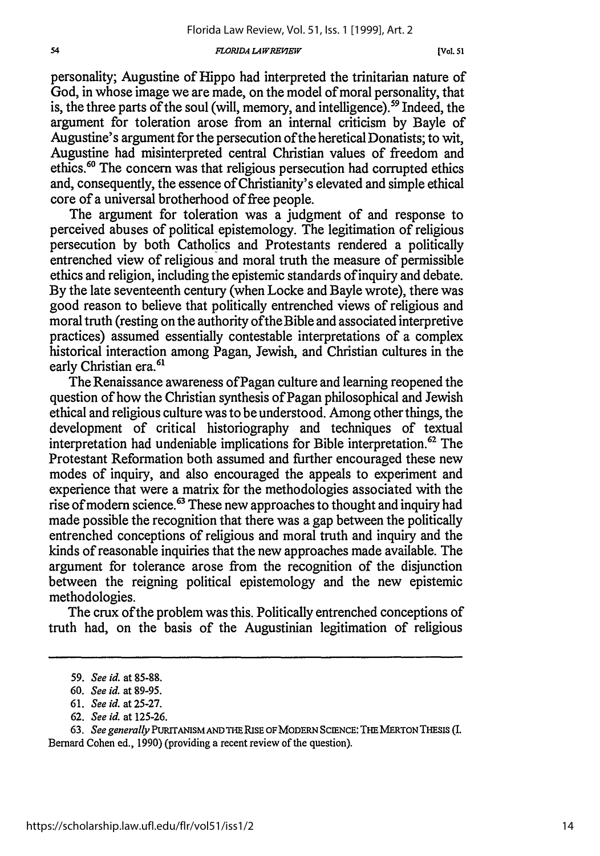#### *FLORIDA LA WREP7EW"*

personality; Augustine of Hippo had interpreted the trinitarian nature of God, in whose image we are made, on the model of moral personality, that is, the three parts of the soul (will, memory, and intelligence). 59 Indeed, the argument for toleration arose from an internal criticism by Bayle of Augustine's argument for the persecution of the heretical Donatists; to wit, Augustine had misinterpreted central Christian values of freedom and ethics.<sup>60</sup> The concern was that religious persecution had corrupted ethics and, consequently, the essence of Christianity's elevated and simple ethical core of a universal brotherhood of free people.

The argument for toleration was a judgment of and response to perceived abuses of political epistemology. The legitimation of religious persecution by both Catholics and Protestants rendered a politically entrenched view of religious and moral truth the measure of permissible ethics and religion, including the epistemic standards of inquiry and debate. By the late seventeenth century (when Locke and Bayle wrote), there was good reason to believe that politically entrenched views of religious and moral truth (resting on the authority of the Bible and associated interpretive practices) assumed essentially contestable interpretations of a complex historical interaction among Pagan, Jewish, and Christian cultures in the early Christian era.<sup>61</sup>

The Renaissance awareness of Pagan culture and learning reopened the question of how the Christian synthesis of Pagan philosophical and Jewish ethical and religious culture was to be understood. Among other things, the development of critical historiography and techniques of textual interpretation had undeniable implications for Bible interpretation.<sup>62</sup> The Protestant Reformation both assumed and further encouraged these new modes of inquiry, and also encouraged the appeals to experiment and experience that were a matrix for the methodologies associated with the rise of modern science.<sup>63</sup> These new approaches to thought and inquiry had made possible the recognition that there was a gap between the politically entrenched conceptions of religious and moral truth and inquiry and the kinds of reasonable inquiries that the new approaches made available. The argument for tolerance arose from the recognition of the disjunction between the reigning political epistemology and the new epistemic methodologies.

The crux of the problem was this. Politically entrenched conceptions of truth had, on the basis of the Augustinian legitimation of religious

*<sup>59.</sup> See id.* at 85-88.

<sup>60.</sup> *See id.* at 89-95.

<sup>61.</sup> *See id.* at 25-27.

<sup>62.</sup> *See id.* at 125-26.

<sup>63.</sup> *See generally Pu rIANiSM* AND THE RISE OFMODERN **SCINCE:** THE **MERTON** THESiS *(I.* Bernard Cohen ed., 1990) (providing a recent review of the question).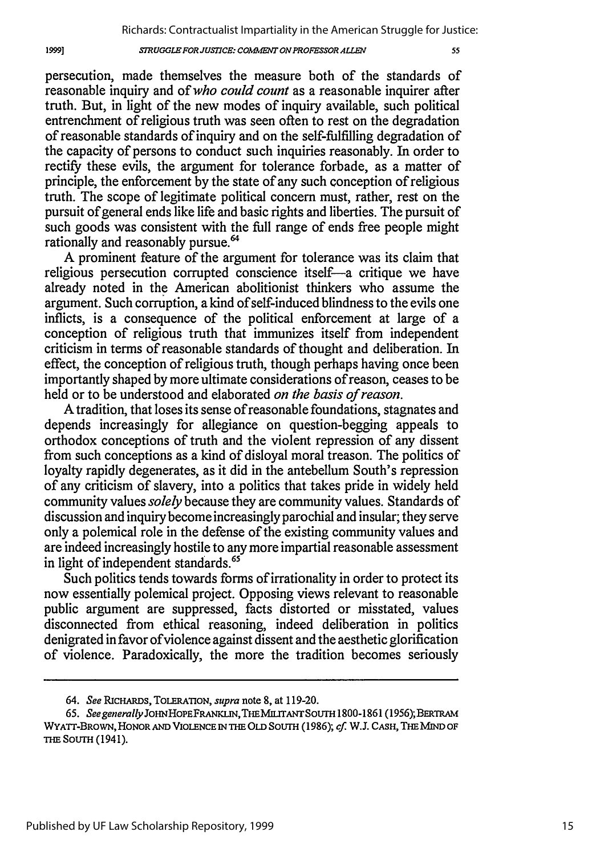### *SMRUGGLE FOR JUSTICE: COA dEVT ONPROFESSOR ALLEN*

19991

persecution, made themselves the measure both of the standards of reasonable inquiry and of *who could count* as a reasonable inquirer after truth. But, in light of the new modes of inquiry available, such political entrenchment of religious truth was seen often to rest on the degradation of reasonable standards of inquiry and on the self-fulfilling degradation of the capacity of persons to conduct such inquiries reasonably. In order to rectify these evils, the argument for tolerance forbade, as a matter of principle, the enforcement by the state of any such conception of religious truth. The scope of legitimate political concern must, rather, rest on the pursuit of general ends like life and basic rights and liberties. The pursuit of such goods was consistent with the full range of ends free people might rationally and reasonably pursue.<sup>64</sup>

A prominent feature of the argument for tolerance was its claim that religious persecution corrupted conscience itself—a critique we have already noted in the American abolitionist thinkers who assume the argument. Such corruption, a kind of self-induced blindness to the evils one inflicts, is a consequence of the political enforcement at large of a conception of religious truth that immunizes itself from independent criticism in terms of reasonable standards of thought and deliberation. In effect, the conception of religious truth, though perhaps having once been importantly shaped by more ultimate considerations of reason, ceases to be held or to be understood and elaborated *on the basis of reason.*

A tradition, that loses its sense of reasonable foundations, stagnates and depends increasingly for allegiance on question-begging appeals to orthodox conceptions of truth and the violent repression of any dissent from such conceptions as a kind of disloyal moral treason. The politics of loyalty rapidly degenerates, as it did in the antebellum South's repression of any criticism of slavery, into a politics that takes pride in widely held community values *solely* because they are community values. Standards of discussion and inquiry become increasingly parochial and insular; they serve only a polemical role in the defense of the existing community values and are indeed increasingly hostile to any more impartial reasonable assessment in light of independent standards.<sup>65</sup>

Such politics tends towards forms of irrationality in order to protect its now essentially polemical project. Opposing views relevant to reasonable public argument are suppressed, facts distorted or misstated, values disconnected from ethical reasoning, indeed deliberation in politics denigrated in favor of violence against dissent and the aesthetic glorification of violence. Paradoxically, the more the tradition becomes seriously

*<sup>64.</sup> See* RiCHARDS, TOLERATnON, *supra* note 8, at 119-20.

<sup>65.</sup> See generally JOHN HOPE FRANKLIN, THE MILITANT SOUTH 1800-1861 (1956); BERTRAM WYATr-BROWN, HONOR **AND VIOLENCE IN** THE OLD SouTH (1986); *cf.* W.J. CASH, THE MIND **OF** THE SouTH (1941).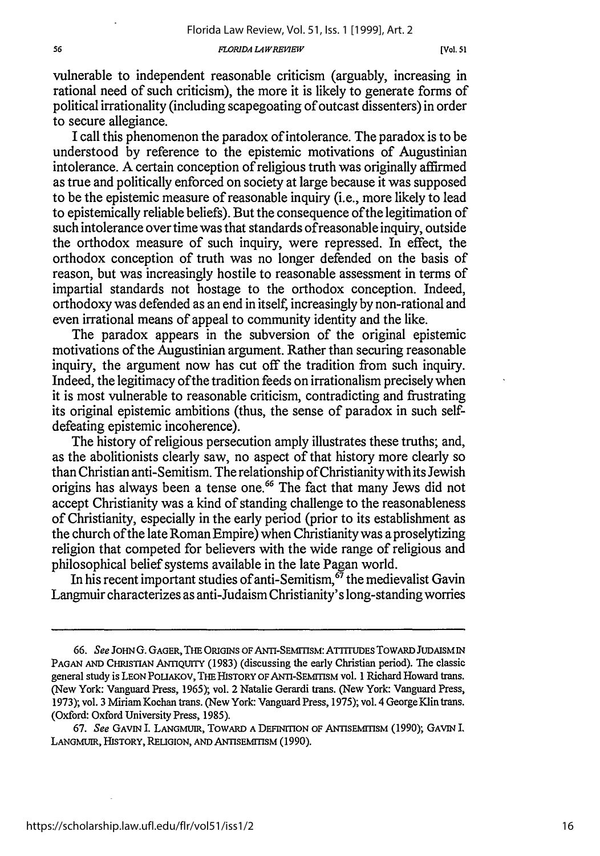*FLORIDA LA WREWEI V*

vulnerable to independent reasonable criticism (arguably, increasing in rational need of such criticism), the more it is likely to generate forms of political irrationality (including scapegoating of outcast dissenters) in order to secure allegiance.

I call this phenomenon the paradox of intolerance. The paradox is to be understood by reference to the epistemic motivations of Augustinian intolerance. A certain conception of religious truth was originally affirmed as true and politically enforced on society at large because it was supposed to be the epistemic measure of reasonable inquiry (i.e., more likely to lead to epistemically reliable beliefs). But the consequence of the legitimation of such intolerance over time was that standards of reasonable inquiry, outside the orthodox measure of such inquiry, were repressed. In effect, the orthodox conception of truth was no longer defended on the basis of reason, but was increasingly hostile to reasonable assessment in terms of impartial standards not hostage to the orthodox conception. Indeed, orthodoxy was defended as an end in itself, increasingly by non-rational and even irrational means of appeal to community identity and the like.

The paradox appears in the subversion of the original epistemic motivations of the Augustinian argument. Rather than securing reasonable inquiry, the argument now has cut off the tradition from such inquiry. Indeed, the legitimacy of the tradition feeds on irrationalism precisely when it is most vulnerable to reasonable criticism, contradicting and frustrating its original epistemic ambitions (thus, the sense of paradox in such selfdefeating epistemic incoherence).

The history of religious persecution amply illustrates these truths; and, as the abolitionists clearly saw, no aspect of that history more clearly so than Christian anti-Semitism. The relationship ofChristianity with its Jewish origins has always been a tense one.<sup>66</sup> The fact that many Jews did not accept Christianity was a kind of standing challenge to the reasonableness of Christianity, especially in the early period (prior to its establishment as the church of the late Roman Empire) when Christianity was a proselytizing religion that competed for believers with the wide range of religious and philosophical belief systems available in the late Pagan world.

In his recent important studies of anti-Semitism,  $\sigma$  the medievalist Gavin Langmuir characterizes as anti-Judaism Christianity's long-standing worries

<sup>66.</sup> See JOHN G. GAGER, THE ORIGINS OF ANTI-SEMITISM: ATTITUDES TOWARD JUDAISM IN **PAGAN** AND CHRISTIAN ANTIQUITY (1983) (discussing the early Christian period). The classic general study is LEON PouAKov, THE HISTORY OF ANTI-SEMITISM vol. 1 Richard Howard trans. (New York: Vanguard Press, 1965); vol. 2 Natalie Gerardi trans. (New York: Vanguard Press, 1973); vol. 3 Miriam Kochan trans. (New York: Vanguard Press, 1975); vol. 4 George Klin trans. (Oxford: Oxford University Press, 1985).

<sup>67.</sup> See GAVIN I. LANGMUIR, TOWARD A DEFINITION OF ANTISEMITISM (1990); GAVIN I. LANGMUIR, HISTORY, RELIGION, AND ANTISEMITISM (1990).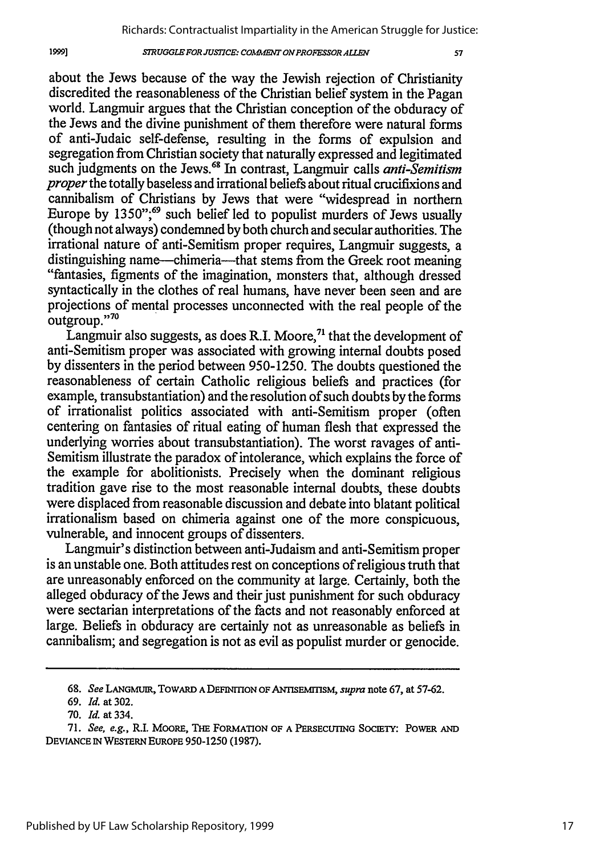### *STRUGGLEFOR JUS ICE: COAMMEVT ONPROFESSOR ALLEN*

about the Jews because of the way the Jewish rejection of Christianity discredited the reasonableness of the Christian belief system in the Pagan world. Langmuir argues that the Christian conception of the obduracy of the Jews and the divine punishment of them therefore were natural forms of anti-Judaic self-defense, resulting in the forms of expulsion and segregation from Christian society that naturally expressed and legitimated such judgments on the Jews.<sup>68</sup> In contrast, Langmuir calls *anti-Semitism proper* the totally baseless and irrational beliefs about ritual crucifixions and cannibalism of Christians by Jews that were "widespread in northern Europe by 1350";<sup>69</sup> such belief led to populist murders of Jews usually (though not always) condemned by both church and secular authorities. The irrational nature of anti-Semitism proper requires, Langmuir suggests, a distinguishing name—chimeria—that stems from the Greek root meaning "fantasies, figments of the imagination, monsters that, although dressed syntactically in the clothes of real humans, have never been seen and are projections of mental processes unconnected with the real people of the outgroup."70

Langmuir also suggests, as does R.I. Moore, $7<sup>1</sup>$  that the development of anti-Semitism proper was associated with growing internal doubts posed by dissenters in the period between 950-1250. The doubts questioned the reasonableness of certain Catholic religious beliefs and practices (for example, transubstantiation) and the resolution of such doubts by the forms of irrationalist politics associated with anti-Semitism proper (often centering on fantasies of ritual eating of human flesh that expressed the underlying worries about transubstantiation). The worst ravages of anti-Semitism illustrate the paradox of intolerance, which explains the force of the example for abolitionists. Precisely when the dominant religious tradition gave rise to the most reasonable internal doubts, these doubts were displaced from reasonable discussion and debate into blatant political irrationalism based on chimeria against one of the more conspicuous, vulnerable, and innocent groups of dissenters.

Langmuir's distinction between anti-Judaism and anti-Semitism proper is an unstable one. Both attitudes rest on conceptions of religious truth that are unreasonably enforced on the community at large. Certainly, both the alleged obduracy of the Jews and their just punishment for such obduracy were sectarian interpretations of the facts and not reasonably enforced at large. Beliefs in obduracy are certainly not as unreasonable as beliefs in cannibalism; and segregation is not as evil as populist murder or genocide.

19991

*<sup>68.</sup> See* LANGMUm, TOWARD **ADEFINITION OFANTIsEMITSM,** *supra* note 67, at 57-62.

*<sup>69.</sup> Id.* at 302.

<sup>70.</sup> *Id.* at 334.

<sup>71.</sup> *See, e.g.,* R.I. MOORE, TiE FORMATION OF **A PERSECUTING SOCIETY:** POWER **AND DEVIANCE** IN WEsTERN EUROPE 950-1250 (1987).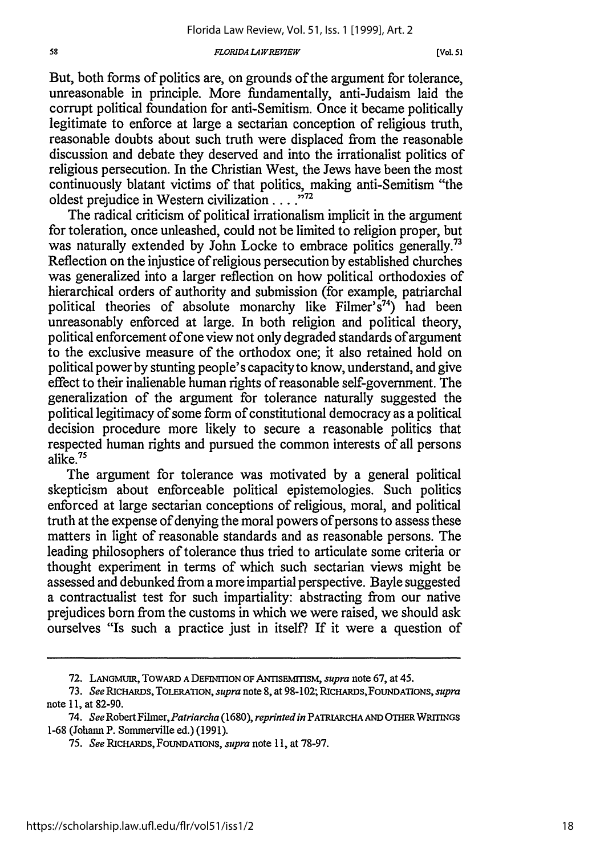#### **FLORIDA LAWREVIEW**

But, both forms of politics are, on grounds of the argument for tolerance, unreasonable in principle. More fundamentally, anti-Judaism laid the corrupt political foundation for anti-Semitism. Once it became politically legitimate to enforce at large a sectarian conception of religious truth, reasonable doubts about such truth were displaced from the reasonable discussion and debate they deserved and into the irrationalist politics of religious persecution. In the Christian West, the Jews have been the most continuously blatant victims of that politics, making anti-Semitism "the oldest prejudice in Western civilization **....**

The radical criticism of political irrationalism implicit in the argument for toleration, once unleashed, could not be limited to religion proper, but was naturally extended by John Locke to embrace politics generally.<sup>73</sup> Reflection on the injustice of religious persecution by established churches was generalized into a larger reflection on how political orthodoxies of hierarchical orders of authority and submission (for example, patriarchal political theories of absolute monarchy like Filmer's<sup>74</sup>) had been unreasonably enforced at large. In both religion and political theory, political enforcement of one view not only degraded standards of argument to the exclusive measure of the orthodox one; it also retained hold on political power by stunting people's capacity to know, understand, and give effect to their inalienable human rights of reasonable self-government. The generalization of the argument for tolerance naturally suggested the political legitimacy of some form of constitutional democracy as a political decision procedure more likely to secure a reasonable politics that respected human rights and pursued the common interests of all persons alike.75

The argument for tolerance was motivated by a general political skepticism about enforceable political epistemologies. Such politics enforced at large sectarian conceptions of religious, moral, and political truth at the expense of denying the moral powers of persons to assess these matters in light of reasonable standards and as reasonable persons. The leading philosophers of tolerance thus tried to articulate some criteria or thought experiment in terms of which such sectarian views might be assessed and debunked from a more impartial perspective. Bayle suggested a contractualist test for such impartiality: abstracting from our native prejudices born from the customs in which we were raised, we should ask ourselves "Is such a practice just in itself? If it were a question of

<sup>72.</sup> LANGMum, TOWARD A DEFiNmON OF **ANTISEMTSM,** *supra* note 67, at 45.

<sup>73.</sup> *See* RicHARDs, TOLERAnTON, *supra* note **8,** at 98-102; RICHARDS, FOUNDATIONS, *supra* note 11, at 82-90.

<sup>74.</sup> *See* Robert Filmer, *Patriarcha* (1680), *reprinted in* PATRIARCHA **AND** OTHER WRrrINGs 1-68 (Johann P. Sommerville ed.) (1991).

<sup>75.</sup> *See* RIcHARDs, FOUNDATIONS, *supra* note 11, at 78-97.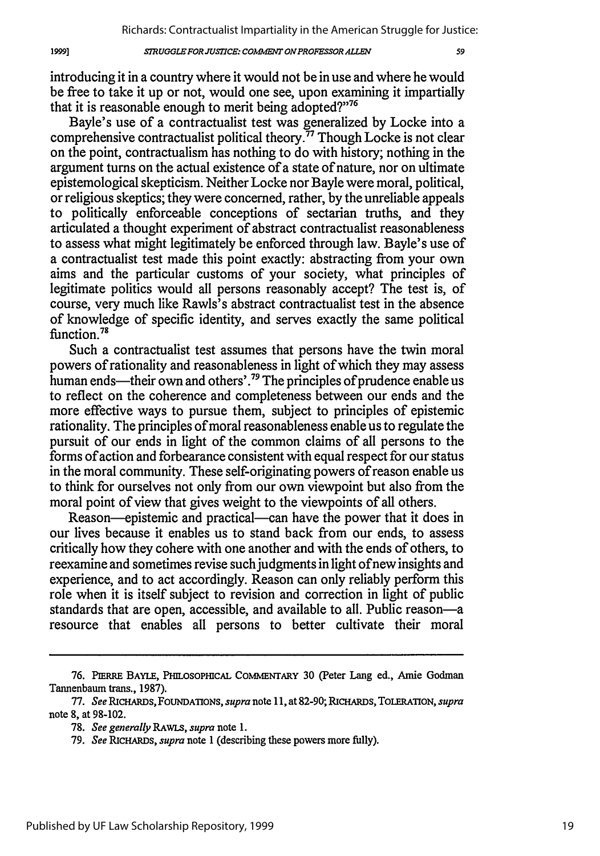#### *STR UGGLE FOR JUS7ICE: COMMENT ON PROFESSORALLEN*

introducing it in a country where it would not be in use and where he would be free to take it up or not, would one see, upon examining it impartially that it is reasonable enough to merit being adopted?""6

Bayle's use of a contractualist test was generalized by Locke into a comprehensive contractualist political theory.<sup>77</sup> Though Locke is not clear on the point, contractualism has nothing to do with history; nothing in the argument turns on the actual existence of a state of nature, nor on ultimate epistemological skepticism. Neither Locke nor Bayle were moral, political, or religious skeptics; they were concerned, rather, by the unreliable appeals to politically enforceable conceptions of sectarian truths, and they articulated a thought experiment of abstract contractualist reasonableness to assess what might legitimately be enforced through law. Bayle's use of a contractualist test made this point exactly: abstracting from your own aims and the particular customs of your society, what principles of legitimate politics would all persons reasonably accept? The test is, of course, very much like Rawls's abstract contractualist test in the absence of knowledge of specific identity, and serves exactly the same political function.<sup>78</sup>

Such a contractualist test assumes that persons have the twin moral powers of rationality and reasonableness in light of which they may assess human ends—their own and others'.<sup>79</sup> The principles of prudence enable us to reflect on the coherence and completeness between our ends and the more effective ways to pursue them, subject to principles of epistemic rationality. The principles of moral reasonableness enable us to regulate the pursuit of our ends in light of the common claims of all persons to the forms of action and forbearance consistent with equal respect for our status in the moral community. These self-originating powers of reason enable us to think for ourselves not only from our own viewpoint but also from the moral point of view that gives weight to the viewpoints of all others.

Reason—epistemic and practical—can have the power that it does in our lives because it enables us to stand back from our ends, to assess critically how they cohere with one another and with the ends of others, to reexamine and sometimes revise such judgments in light of new insights and experience, and to act accordingly. Reason can only reliably perform this role when it is itself subject to revision and correction in light of public standards that are open, accessible, and available to all. Public reason-a resource that enables all persons to better cultivate their moral

<sup>76.</sup> PIERRE BAYLE, **PHIOSOPHICAL** COMENTARY 30 (Peter Lang ed., Amie Godman Tannenbaum trans., 1987).

<sup>77.</sup> *See RICHARDS,* FOUNDATIONS, *supra* note 11, at 82-90; RICHARDS, TOLERATION, *supra* note **8,** at 98-102.

<sup>78.</sup> *See generally RAWLS, supra* note 1.

<sup>79.</sup> *See* RICHARDS, *supra* note 1 (describing these powers more fully).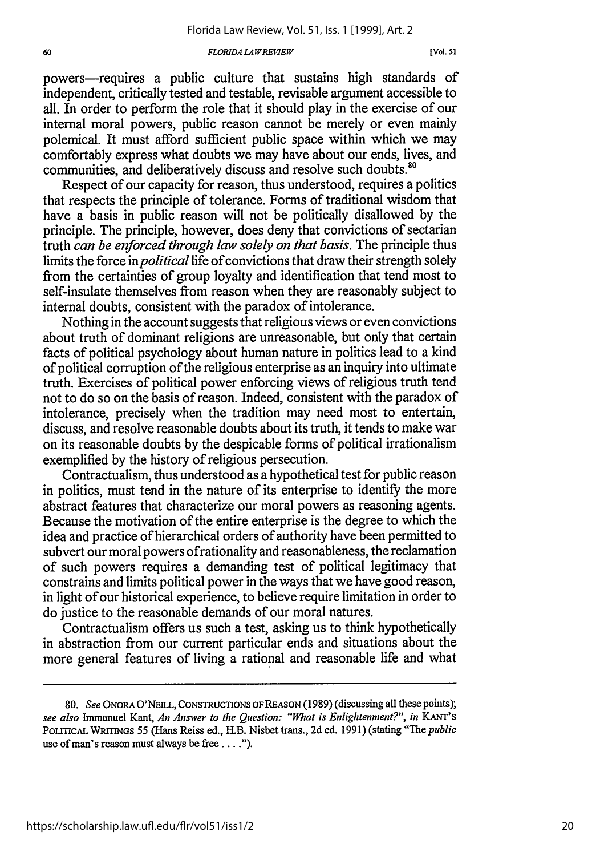#### *FLORIDA L4WRFEW[o.*

**[Vol. 51**

powers-requires a public culture that sustains high standards of independent, critically tested and testable, revisable argument accessible to all. In order to perform the role that it should play in the exercise of our internal moral powers, public reason cannot be merely or even mainly polemical. It must afford sufficient public space within which we may comfortably express what doubts we may have about our ends, lives, and communities, and deliberatively discuss and resolve such doubts.<sup>8</sup>

Respect of our capacity for reason, thus understood, requires a politics that respects the principle of tolerance. Forms of traditional wisdom that have a basis in public reason will not be politically disallowed by the principle. The principle, however, does deny that convictions of sectarian truth *can be enforced through law solely on that basis.* The principle thus limits the force *in political* life of convictions that draw their strength solely from the certainties of group loyalty and identification that tend most to self-insulate themselves from reason when they are reasonably subject to internal doubts, consistent with the paradox of intolerance.

Nothing in the account suggests that religious views or even convictions about truth of dominant religions are unreasonable, but only that certain facts of political psychology about human nature in politics lead to a kind of political corruption of the religious enterprise as an inquiry into ultimate truth. Exercises of political power enforcing views of religious truth tend not to do so on the basis of reason. Indeed, consistent with the paradox of intolerance, precisely when the tradition may need most to entertain, discuss, and resolve reasonable doubts about its truth, it tends to make war on its reasonable doubts by the despicable forms of political irrationalism exemplified by the history of religious persecution.

Contractualism, thus understood as a hypothetical test for public reason in politics, must tend in the nature of its enterprise to identify the more abstract features that characterize our moral powers as reasoning agents. Because the motivation of the entire enterprise is the degree to which the idea and practice of hierarchical orders of authority have been permitted to subvert our moral powers of rationality and reasonableness, the reclamation of such powers requires a demanding test of political legitimacy that constrains and limits political power in the ways that we have good reason, in light of our historical experience, to believe require limitation in order to do justice to the reasonable demands of our moral natures.

Contractualism offers us such a test, asking us to think hypothetically in abstraction from our current particular ends and situations about the more general features of living a rational and reasonable life and what

**<sup>80.</sup>** *See* ONoRA O'NEILL, CONSTRUCTIONS OF REASON (1989) (discussing all these points); *see also* Immanuel Kant, *An Answer to* the *Question: "What is Enlightenment?", in* KANT'S POLnCAL WRrTNGS **55** (Hans Reiss ed., H.B. Nisbet trans., 2d ed. 1991) (stating *"The public* use of man's reason must always be free **.... ).**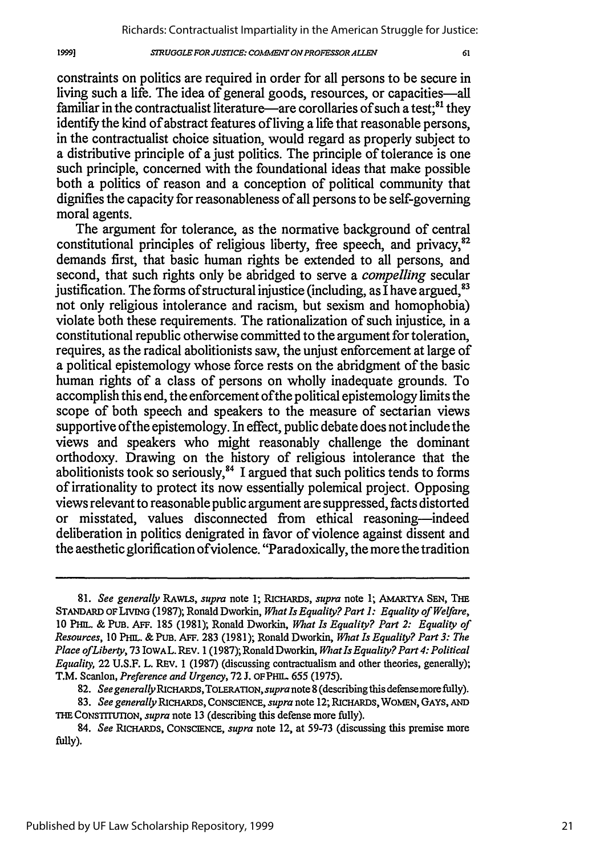#### *STRUGGLEFOR JUSTICE: COA NT ONPROFESSOR ALLEN*

19991

constraints on politics are required in order for all persons to be secure in living such a life. The idea of general goods, resources, or capacities—all familiar in the contractualist literature—are corollaries of such a test:<sup>81</sup> they identify the kind of abstract features of living a life that reasonable persons, in the contractualist choice situation, would regard as properly subject to a distributive principle of a just politics. The principle of tolerance is one such principle, concerned with the foundational ideas that make possible both a politics of reason and a conception of political community that dignifies the capacity for reasonableness of all persons to be self-governing moral agents.

The argument for tolerance, as the normative background of central constitutional principles of religious liberty, free speech, and privacy,<sup>82</sup> demands first, that basic human rights be extended to all persons, and second, that such rights only be abridged to serve a *compelling* secular justification. The forms of structural injustice (including, as  $\overline{I}$  have argued, <sup>83</sup> not only religious intolerance and racism, but sexism and homophobia) violate both these requirements. The rationalization of such injustice, in a constitutional republic otherwise committed to the argument for toleration, requires, as the radical abolitionists saw, the unjust enforcement at large of a political epistemology whose force rests on the abridgment of the basic human rights of a class of persons on wholly inadequate grounds. To accomplish this end, the enforcement of the political epistemology limits the scope of both speech and speakers to the measure of sectarian views supportive ofthe epistemology. In effect, public debate does not include the views and speakers who might reasonably challenge the dominant orthodoxy. Drawing on the history of religious intolerance that the abolitionists took so seriously,<sup>84</sup> I argued that such politics tends to forms of irrationality to protect its now essentially polemical project. Opposing views relevant to reasonable public argument are suppressed, facts distorted or misstated, values disconnected from ethical reasoning-indeed deliberation in politics denigrated in favor of violence against dissent and the aesthetic glorification ofviolence. "Paradoxically, the more the tradition

82. *SeegenerallyRicHARDs,ToLERATION, supra* noteS (describing this defensemore fully).

**<sup>81.</sup>** *See generally RAWLS, supra* note 1; **RICHARDS,** *supra* note 1; AMARTYA **SEN, THE STANDARD** OF *LrvING* (1987); Ronald Dworkin, *What Is Equality? Part 1: Equality of Welfare,* 10 PHL. & PUB. **AFF.** 185 (1981); Ronald Dworkin, *What Is Equality? Part 2: Equality of Resources,* 10 PHL. & PuB. *A'.* 283 (1981); Ronald Dworkin, *What Is Equality? Part 3: The Place ofLiberty,* 73 **IOWA** L. REv. 1 (1987); Ronald Dworkin, *What Is Equality? Part 4: Political Equality,* 22 U.S.F. L. REV. 1 (1987) (discussing contractualism and other theories, generally); T.M. Scanlon, *Preference and Urgency,* 72 J. OF **PHIL** 655 (1975).

<sup>83.</sup> *See generally* RICHARDS, **CONSCIENCE,** *supra* note 12; **RiCHARDS,** WOMEN, GAYS, **AND THE** CoNsTrTToN, *supra* note 13 (describing this defense more fully).

<sup>84.</sup> *See* RICHARDS, **CONSCIENCE,** *supra* note 12, at 59-73 (discussing this premise more fully).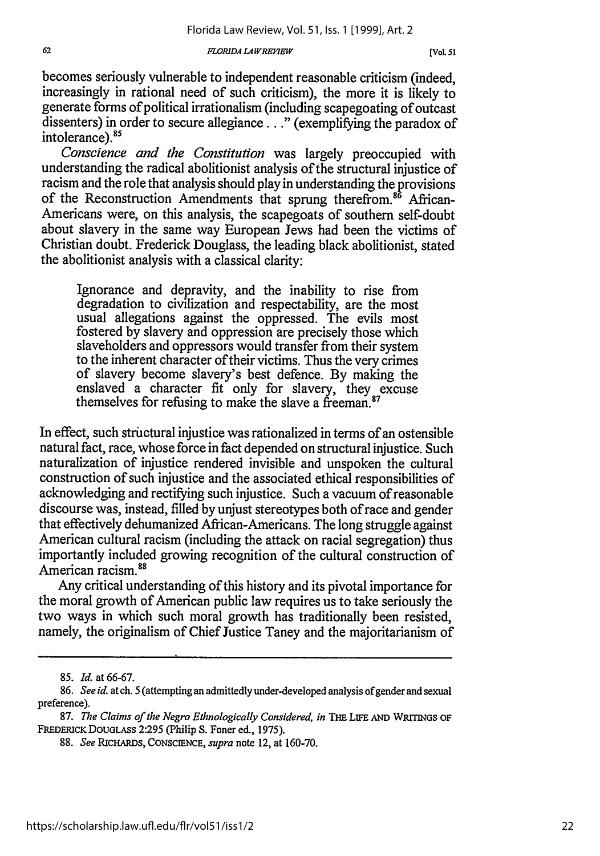#### *FLORIDA L4 WREWEIV*

becomes seriously vulnerable to independent reasonable criticism (indeed, increasingly in rational need of such criticism), the more it is likely to generate forms of political irrationalism (including scapegoating of outcast dissenters) in order to secure allegiance. **.** ." (exemplifying the paradox of intolerance). $85$ 

*Conscience and the Constitution* was largely preoccupied with understanding the radical abolitionist analysis of the structural injustice of racism and the role that analysis should play in understanding the provisions of the Reconstruction Amendments that sprung therefrom.<sup>86</sup> African-Americans were, on this analysis, the scapegoats of southern self-doubt about slavery in the same way European Jews had been the victims of Christian doubt. Frederick Douglass, the leading black abolitionist, stated the abolitionist analysis with a classical clarity:

Ignorance and depravity, and the inability to rise from degradation to civilization and respectability, are the most usual allegations against the oppressed. The evils most fostered by slavery and oppression are precisely those which slaveholders and oppressors would transfer from their system to the inherent character of their victims. Thus the very crimes of slavery become slavery's best defence. By making the enslaved a character fit only for slavery, they excuse themselves for refusing to make the slave a freeman.<sup>87</sup>

In effect, such structural injustice was rationalized in terms of an ostensible natural fact, race, whose force in fact depended on structural injustice. Such naturalization of injustice rendered invisible and unspoken the cultural construction of such injustice and the associated ethical responsibilities of acknowledging and rectifying such injustice. Such a vacuum of reasonable discourse was, instead, filled by unjust stereotypes both of race and gender that effectively dehumanized African-Americans. The long struggle against American cultural racism (including the attack on racial segregation) thus importantly included growing recognition of the cultural construction of American racism.<sup>88</sup>

Any critical understanding of this history and its pivotal importance for the moral growth of American public law requires us to take seriously the two ways in which such moral growth has traditionally been resisted, namely, the originalism of Chief Justice Taney and the majoritarianism of

<sup>85.</sup> *Id.* at 66-67.

<sup>86.</sup> *See id.* atch. *5* (attempting an admittedly under-developed analysis of gender and sexual preference).

<sup>87.</sup> *The Claims of the Negro Ethnologically Considered, in THE LIFE AND WRITINGS OF* FREDERICK DOUGLASS 2:295 (Philip S. Foner ed., 1975).

<sup>88.</sup> *See* RIcHARDs, CONSCIENCE, *supra* note 12, at 160-70.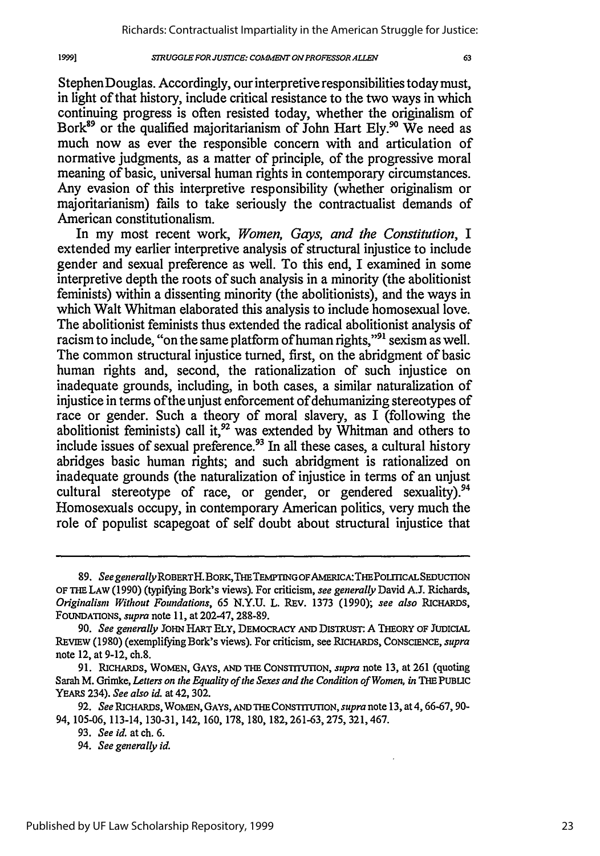#### *SYRUGGLE FOR JUSTICE: COMMENT ONPROFESSOR ALLEN*

StephenDouglas. Accordingly, our interpretive responsibilities today must, in light of that history, include critical resistance to the two ways in which continuing progress is often resisted today, whether the originalism of Bork<sup>89</sup> or the qualified majoritarianism of John Hart Ely.<sup>90</sup> We need as much now as ever the responsible concern with and articulation of normative judgments, as a matter of principle, of the progressive moral meaning of basic, universal human rights in contemporary circumstances. Any evasion of this interpretive responsibility (whether originalism or majoritarianism) fails to take seriously the contractualist demands of American constitutionalism.

In my most recent work, *Women, Gays, and the Constitution, I* extended my earlier interpretive analysis of structural injustice to include gender and sexual preference as well. To this end, I examined in some interpretive depth the roots of such analysis in a minority (the abolitionist feminists) within a dissenting minority (the abolitionists), and the ways in which Walt Whitman elaborated this analysis to include homosexual love. The abolitionist feminists thus extended the radical abolitionist analysis of racism to include, "on the same platform of human rights,"<sup>91</sup> sexism as well. The common structural injustice turned, first, on the abridgment of basic human rights and, second, the rationalization of such injustice on inadequate grounds, including, in both cases, a similar naturalization of injustice in terms of the unjust enforcement of dehumanizing stereotypes of race or gender. Such a theory of moral slavery, as I (following the abolitionist feminists) call it, $^{92}$  was extended by Whitman and others to include issues of sexual preference.<sup>93</sup> In all these cases, a cultural history abridges basic human rights; and such abridgment is rationalized on inadequate grounds (the naturalization of injustice in terms of an unjust cultural stereotype of race, or gender, or gendered sexuality).<sup>94</sup> Homosexuals occupy, in contemporary American politics, very much the role of populist scapegoat of self doubt about structural injustice that

19991

<sup>89.</sup> See generally ROBERTH. BORK, THE TEMPTING OF AMERICA: THE POLITICAL SEDUCTION OF **THE** LAW (1990) (typifying Bork's views). For criticism, *see generally* David **A.J.** Richards, *Originalism Without Foundations,* 65 N.Y.U. L. REV. 1373 (1990); *see also* RiCHARDS, FOUNDATIONS, *supra* note 11, at 202-47, 288-89.

**<sup>90.</sup>** *See generally* JOHN HART **ELY,** DEMOCRACY AND DISTRUST: A THEORY OF JuDiciAL REVIEW (1980) (exemplifying Bork's views). For criticism, see RicHARDs, CONSCIENCE, *supra* note 12, at 9-12, ch.8.

<sup>91.</sup> RICHARDS, WOMEN, **GAYS,** AND THE CONSTrrUTION, *supra* note 13, at 261 (quoting Sarah M. Grimke, *Letters on the Equality of the Sexes and the Condition of Women, in THE* **PUBUC** YEARS 234). *See also id.* at 42, 302.

<sup>92.</sup> *See* RiCHARDS, WOMEN, GAYS, AND THE CONSTITUTION, *supra* note 13, at 4, 66-67, 90- 94, 105-06, 113-14, 130-31, 142, 160, 178, 180, 182, 261-63, 275, 321,467.

<sup>93.</sup> *See id. at ch. 6.*

<sup>94.</sup> *See generally id.*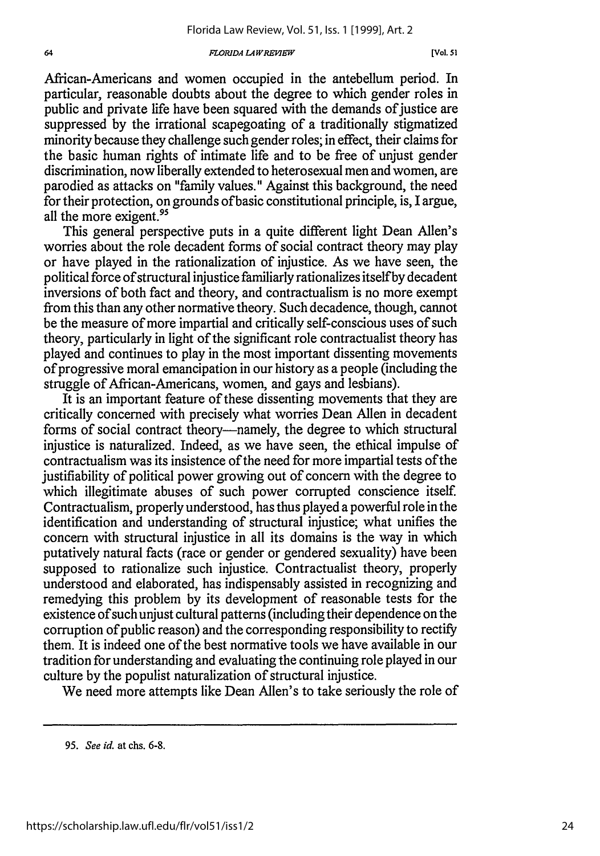### *FLORIDA LA WREnW [V,*

African-Americans and women occupied in the antebellum period. In particular, reasonable doubts about the degree to which gender roles in public and private life have been squared with the demands of justice are suppressed by the irrational scapegoating of a traditionally stigmatized minority because they challenge such gender roles; in effect, their claims for the basic human rights of intimate life and to be free of unjust gender discrimination, now liberally extended to heterosexual men and women, are parodied as attacks on "family values." Against this background, the need for their protection, on grounds of basic constitutional principle, is, I argue, all the more exigent.<sup>95</sup>

This general perspective puts in a quite different light Dean Allen's worries about the role decadent forms of social contract theory may play or have played in the rationalization of injustice. As we have seen, the political force of structural injustice familiarly rationalizes itself by decadent inversions of both fact and theory, and contractualism is no more exempt from this than any other normative theory. Such decadence, though, cannot be the measure of more impartial and critically self-conscious uses of such theory, particularly in light of the significant role contractualist theory has played and continues to play in the most important dissenting movements of progressive moral emancipation in our history as a people (including the struggle of African-Americans, women, and gays and lesbians).

It is an important feature of these dissenting movements that they are critically concerned with precisely what worries Dean Allen in decadent forms of social contract theory—namely, the degree to which structural injustice is naturalized. Indeed, as we have seen, the ethical impulse of contractualism was its insistence of the need for more impartial tests of the justifiability of political power growing out of concern with the degree to which illegitimate abuses of such power corrupted conscience itself. Contractualism, properly understood, has thus played a powerful role in the identification and understanding of structural injustice; what unifies the concern with structural injustice in all its domains is the way in which putatively natural facts (race or gender or gendered sexuality) have been supposed to rationalize such injustice. Contractualist theory, properly understood and elaborated, has indispensably assisted in recognizing and remedying this problem by its development of reasonable tests for the existence of such unjust cultural patterns (including their dependence on the corruption of public reason) and the corresponding responsibility to rectify them. It is indeed one of the best normative tools we have available in our tradition for understanding and evaluating the continuing role played in our culture by the populist naturalization of structural injustice.

We need more attempts like Dean Allen's to take seriously the role of

*<sup>95.</sup> See id.* at chs. 6-8.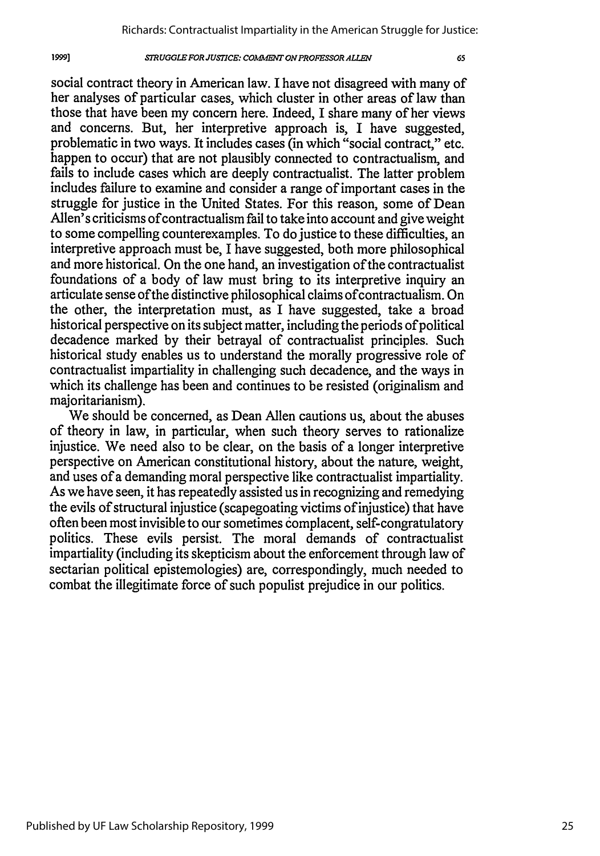#### **STRUGGLE** *FOR JUSTICE: COMMENT ON PROFESSOR ALLEN*

19991

social contract theory in American law. I have not disagreed with many of her analyses of particular cases, which cluster in other areas of law than those that have been my concern here. Indeed, I share many of her views and concerns. But, her interpretive approach is, I have suggested, problematic in two ways. It includes cases (in which "social contract," etc. happen to occur) that are not plausibly connected to contractualism, and fails to include cases which are deeply contractualist. The latter problem includes failure to examine and consider a range of important cases in the struggle for justice in the United States. For this reason, some of Dean Allen's criticisms ofcontractualism fail to take into account and give weight to some compelling counterexamples. To do justice to these difficulties, an interpretive approach must be, I have suggested, both more philosophical and more historical. On the one hand, an investigation of the contractualist foundations of a body of law must bring to its interpretive inquiry an articulate sense of the distinctive philosophical claims ofcontractualism. On the other, the interpretation must, as I have suggested, take a broad historical perspective on its subject matter, including the periods of political decadence marked by their betrayal of contractualist principles. Such historical study enables us to understand the morally progressive role of contractualist impartiality in challenging such decadence, and the ways in which its challenge has been and continues to be resisted (originalism and majoritarianism).

We should be concerned, as Dean Allen cautions us, about the abuses of theory in law, in particular, when such theory serves to rationalize injustice. We need also to be clear, on the basis of a longer interpretive perspective on American constitutional history, about the nature, weight, and uses of a demanding moral perspective like contractualist impartiality. As we have seen, it has repeatedly assisted us in recognizing and remedying the evils of structural injustice (scapegoating victims of injustice) that have often been most invisible to our sometimes complacent, self-congratulatory politics. These evils persist. The moral demands of contractualist impartiality (including its skepticism about the enforcement through law of sectarian political epistemologies) are, correspondingly, much needed to combat the illegitimate force of such populist prejudice in our politics.